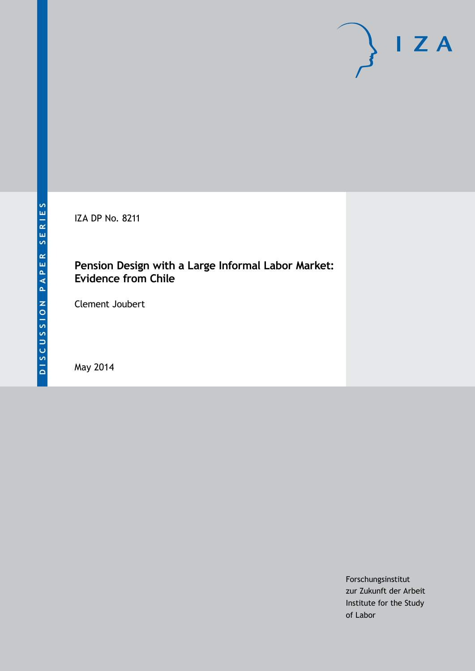IZA DP No. 8211

### **Pension Design with a Large Informal Labor Market: Evidence from Chile**

Clement Joubert

May 2014

Forschungsinstitut zur Zukunft der Arbeit Institute for the Study of Labor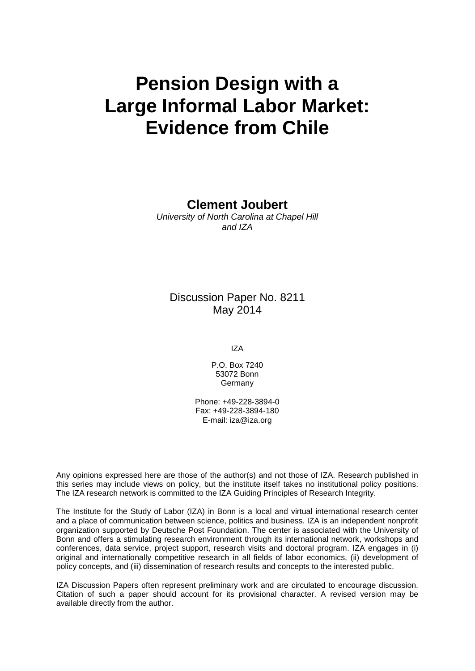# **Pension Design with a Large Informal Labor Market: Evidence from Chile**

**Clement Joubert**

*University of North Carolina at Chapel Hill and IZA*

Discussion Paper No. 8211 May 2014

IZA

P.O. Box 7240 53072 Bonn **Germany** 

Phone: +49-228-3894-0 Fax: +49-228-3894-180 E-mail: [iza@iza.org](mailto:iza@iza.org)

Any opinions expressed here are those of the author(s) and not those of IZA. Research published in this series may include views on policy, but the institute itself takes no institutional policy positions. The IZA research network is committed to the IZA Guiding Principles of Research Integrity.

The Institute for the Study of Labor (IZA) in Bonn is a local and virtual international research center and a place of communication between science, politics and business. IZA is an independent nonprofit organization supported by Deutsche Post Foundation. The center is associated with the University of Bonn and offers a stimulating research environment through its international network, workshops and conferences, data service, project support, research visits and doctoral program. IZA engages in (i) original and internationally competitive research in all fields of labor economics, (ii) development of policy concepts, and (iii) dissemination of research results and concepts to the interested public.

<span id="page-1-0"></span>IZA Discussion Papers often represent preliminary work and are circulated to encourage discussion. Citation of such a paper should account for its provisional character. A revised version may be available directly from the author.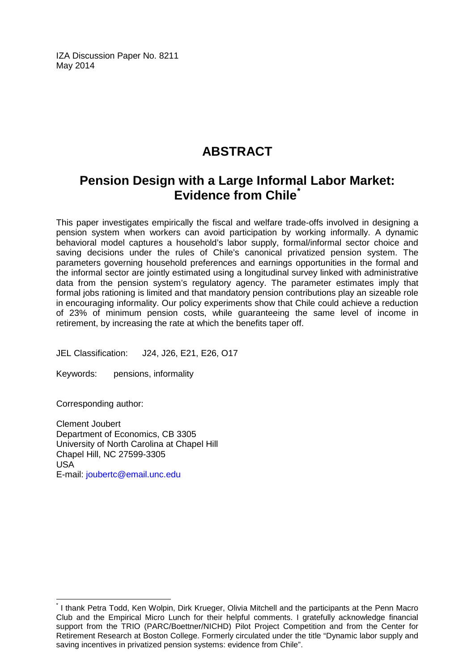IZA Discussion Paper No. 8211 May 2014

## **ABSTRACT**

## **Pension Design with a Large Informal Labor Market: Evidence from Chile[\\*](#page-1-0)**

This paper investigates empirically the fiscal and welfare trade-offs involved in designing a pension system when workers can avoid participation by working informally. A dynamic behavioral model captures a household's labor supply, formal/informal sector choice and saving decisions under the rules of Chile's canonical privatized pension system. The parameters governing household preferences and earnings opportunities in the formal and the informal sector are jointly estimated using a longitudinal survey linked with administrative data from the pension system's regulatory agency. The parameter estimates imply that formal jobs rationing is limited and that mandatory pension contributions play an sizeable role in encouraging informality. Our policy experiments show that Chile could achieve a reduction of 23% of minimum pension costs, while guaranteeing the same level of income in retirement, by increasing the rate at which the benefits taper off.

JEL Classification: J24, J26, E21, E26, O17

Keywords: pensions, informality

Corresponding author:

Clement Joubert Department of Economics, CB 3305 University of North Carolina at Chapel Hill Chapel Hill, NC 27599-3305 USA E-mail: [joubertc@email.unc.edu](mailto:joubertc@email.unc.edu)

\* I thank Petra Todd, Ken Wolpin, Dirk Krueger, Olivia Mitchell and the participants at the Penn Macro Club and the Empirical Micro Lunch for their helpful comments. I gratefully acknowledge financial support from the TRIO (PARC/Boettner/NICHD) Pilot Project Competition and from the Center for Retirement Research at Boston College. Formerly circulated under the title "Dynamic labor supply and saving incentives in privatized pension systems: evidence from Chile".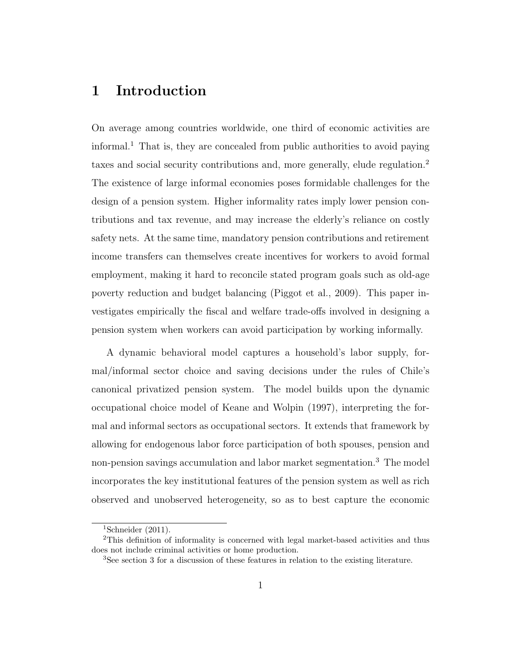## 1 Introduction

On average among countries worldwide, one third of economic activities are informal.<sup>1</sup> That is, they are concealed from public authorities to avoid paying taxes and social security contributions and, more generally, elude regulation.<sup>2</sup> The existence of large informal economies poses formidable challenges for the design of a pension system. Higher informality rates imply lower pension contributions and tax revenue, and may increase the elderly's reliance on costly safety nets. At the same time, mandatory pension contributions and retirement income transfers can themselves create incentives for workers to avoid formal employment, making it hard to reconcile stated program goals such as old-age poverty reduction and budget balancing (Piggot et al., 2009). This paper investigates empirically the fiscal and welfare trade-offs involved in designing a pension system when workers can avoid participation by working informally.

A dynamic behavioral model captures a household's labor supply, formal/informal sector choice and saving decisions under the rules of Chile's canonical privatized pension system. The model builds upon the dynamic occupational choice model of Keane and Wolpin (1997), interpreting the formal and informal sectors as occupational sectors. It extends that framework by allowing for endogenous labor force participation of both spouses, pension and non-pension savings accumulation and labor market segmentation.<sup>3</sup> The model incorporates the key institutional features of the pension system as well as rich observed and unobserved heterogeneity, so as to best capture the economic

<sup>&</sup>lt;sup>1</sup>Schneider  $(2011)$ .

<sup>2</sup>This definition of informality is concerned with legal market-based activities and thus does not include criminal activities or home production.

<sup>3</sup>See section 3 for a discussion of these features in relation to the existing literature.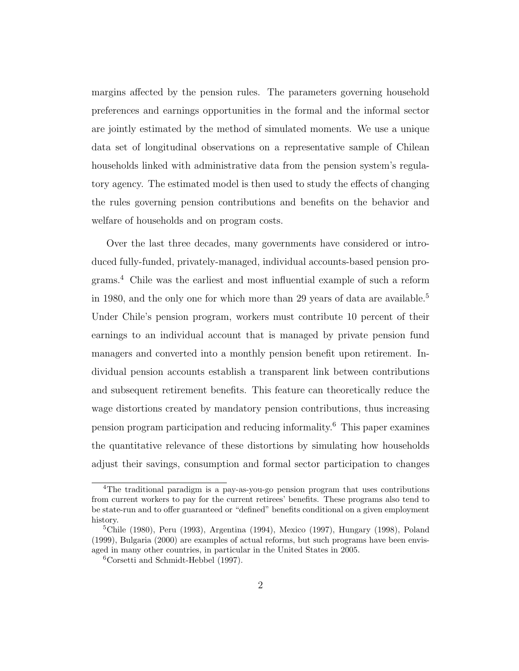margins affected by the pension rules. The parameters governing household preferences and earnings opportunities in the formal and the informal sector are jointly estimated by the method of simulated moments. We use a unique data set of longitudinal observations on a representative sample of Chilean households linked with administrative data from the pension system's regulatory agency. The estimated model is then used to study the effects of changing the rules governing pension contributions and benefits on the behavior and welfare of households and on program costs.

Over the last three decades, many governments have considered or introduced fully-funded, privately-managed, individual accounts-based pension programs.<sup>4</sup> Chile was the earliest and most influential example of such a reform in 1980, and the only one for which more than 29 years of data are available.<sup>5</sup> Under Chile's pension program, workers must contribute 10 percent of their earnings to an individual account that is managed by private pension fund managers and converted into a monthly pension benefit upon retirement. Individual pension accounts establish a transparent link between contributions and subsequent retirement benefits. This feature can theoretically reduce the wage distortions created by mandatory pension contributions, thus increasing pension program participation and reducing informality.<sup>6</sup> This paper examines the quantitative relevance of these distortions by simulating how households adjust their savings, consumption and formal sector participation to changes

<sup>4</sup>The traditional paradigm is a pay-as-you-go pension program that uses contributions from current workers to pay for the current retirees' benefits. These programs also tend to be state-run and to offer guaranteed or "defined" benefits conditional on a given employment history.

<sup>&</sup>lt;sup>5</sup>Chile (1980), Peru (1993), Argentina (1994), Mexico (1997), Hungary (1998), Poland (1999), Bulgaria (2000) are examples of actual reforms, but such programs have been envisaged in many other countries, in particular in the United States in 2005.

<sup>6</sup>Corsetti and Schmidt-Hebbel (1997).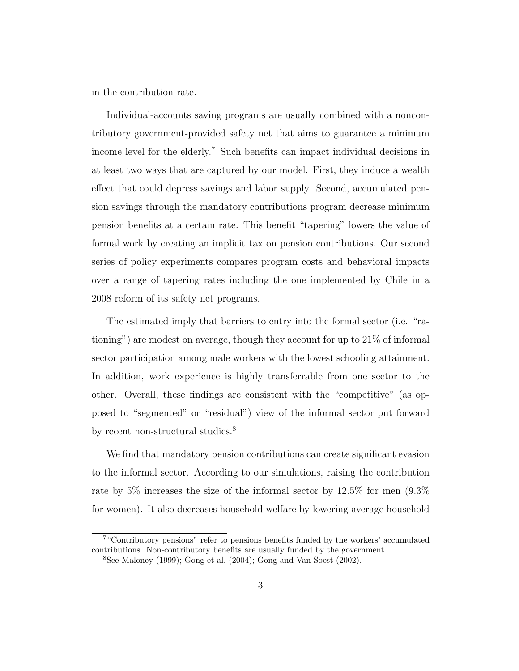in the contribution rate.

Individual-accounts saving programs are usually combined with a noncontributory government-provided safety net that aims to guarantee a minimum income level for the elderly.<sup>7</sup> Such benefits can impact individual decisions in at least two ways that are captured by our model. First, they induce a wealth effect that could depress savings and labor supply. Second, accumulated pension savings through the mandatory contributions program decrease minimum pension benefits at a certain rate. This benefit "tapering" lowers the value of formal work by creating an implicit tax on pension contributions. Our second series of policy experiments compares program costs and behavioral impacts over a range of tapering rates including the one implemented by Chile in a 2008 reform of its safety net programs.

The estimated imply that barriers to entry into the formal sector (i.e. "rationing") are modest on average, though they account for up to 21% of informal sector participation among male workers with the lowest schooling attainment. In addition, work experience is highly transferrable from one sector to the other. Overall, these findings are consistent with the "competitive" (as opposed to "segmented" or "residual") view of the informal sector put forward by recent non-structural studies.<sup>8</sup>

We find that mandatory pension contributions can create significant evasion to the informal sector. According to our simulations, raising the contribution rate by 5% increases the size of the informal sector by 12.5% for men (9.3% for women). It also decreases household welfare by lowering average household

<sup>7</sup>"Contributory pensions" refer to pensions benefits funded by the workers' accumulated contributions. Non-contributory benefits are usually funded by the government.

 $8$ See Maloney (1999); Gong et al. (2004); Gong and Van Soest (2002).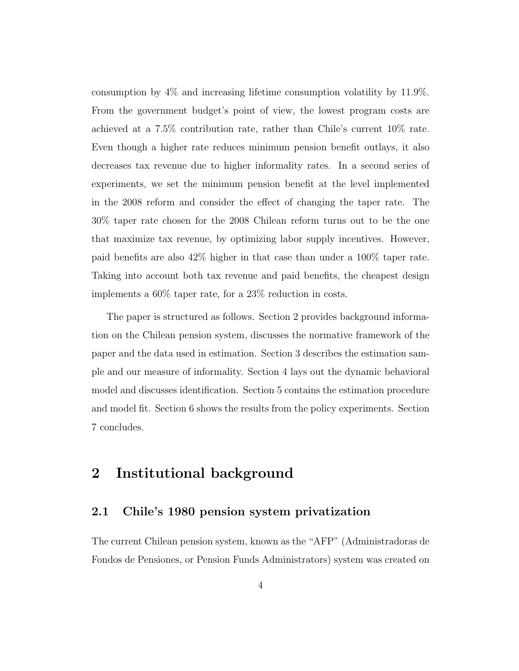consumption by 4% and increasing lifetime consumption volatility by 11.9%. From the government budget's point of view, the lowest program costs are achieved at a 7.5% contribution rate, rather than Chile's current 10% rate. Even though a higher rate reduces minimum pension benefit outlays, it also decreases tax revenue due to higher informality rates. In a second series of experiments, we set the minimum pension benefit at the level implemented in the 2008 reform and consider the effect of changing the taper rate. The 30% taper rate chosen for the 2008 Chilean reform turns out to be the one that maximize tax revenue, by optimizing labor supply incentives. However, paid benefits are also 42% higher in that case than under a 100% taper rate. Taking into account both tax revenue and paid benefits, the cheapest design implements a 60% taper rate, for a 23% reduction in costs.

The paper is structured as follows. Section 2 provides background information on the Chilean pension system, discusses the normative framework of the paper and the data used in estimation. Section 3 describes the estimation sample and our measure of informality. Section 4 lays out the dynamic behavioral model and discusses identification. Section 5 contains the estimation procedure and model fit. Section 6 shows the results from the policy experiments. Section 7 concludes.

## 2 Institutional background

### 2.1 Chile's 1980 pension system privatization

The current Chilean pension system, known as the "AFP" (Administradoras de Fondos de Pensiones, or Pension Funds Administrators) system was created on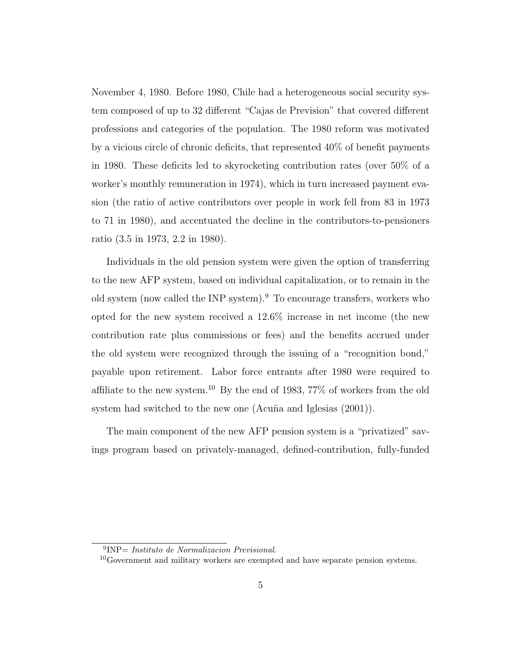November 4, 1980. Before 1980, Chile had a heterogeneous social security system composed of up to 32 different "Cajas de Prevision" that covered different professions and categories of the population. The 1980 reform was motivated by a vicious circle of chronic deficits, that represented 40% of benefit payments in 1980. These deficits led to skyrocketing contribution rates (over 50% of a worker's monthly remuneration in 1974), which in turn increased payment evasion (the ratio of active contributors over people in work fell from 83 in 1973 to 71 in 1980), and accentuated the decline in the contributors-to-pensioners ratio (3.5 in 1973, 2.2 in 1980).

Individuals in the old pension system were given the option of transferring to the new AFP system, based on individual capitalization, or to remain in the old system (now called the INP system).<sup>9</sup> To encourage transfers, workers who opted for the new system received a 12.6% increase in net income (the new contribution rate plus commissions or fees) and the benefits accrued under the old system were recognized through the issuing of a "recognition bond," payable upon retirement. Labor force entrants after 1980 were required to affiliate to the new system.<sup>10</sup> By the end of 1983,  $77\%$  of workers from the old system had switched to the new one (Acuña and Iglesias (2001)).

The main component of the new AFP pension system is a "privatized" savings program based on privately-managed, defined-contribution, fully-funded

<sup>9</sup> INP= Instituto de Normalizacion Previsional.

 $10$ Government and military workers are exempted and have separate pension systems.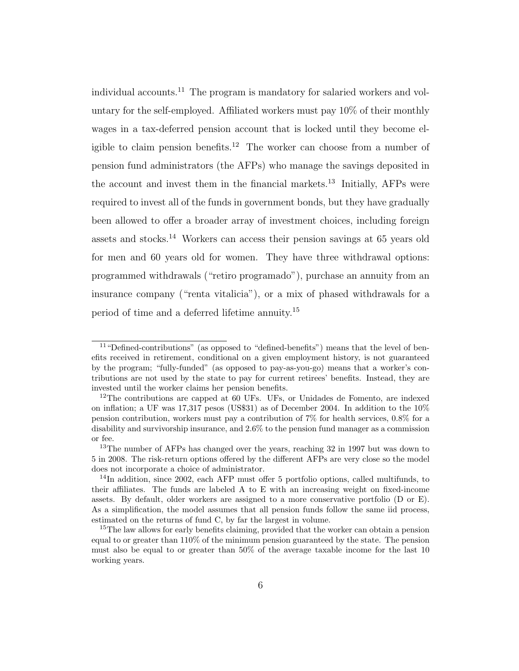individual accounts.<sup>11</sup> The program is mandatory for salaried workers and voluntary for the self-employed. Affiliated workers must pay 10% of their monthly wages in a tax-deferred pension account that is locked until they become eligible to claim pension benefits.<sup>12</sup> The worker can choose from a number of pension fund administrators (the AFPs) who manage the savings deposited in the account and invest them in the financial markets.<sup>13</sup> Initially, AFPs were required to invest all of the funds in government bonds, but they have gradually been allowed to offer a broader array of investment choices, including foreign assets and stocks.<sup>14</sup> Workers can access their pension savings at 65 years old for men and 60 years old for women. They have three withdrawal options: programmed withdrawals ("retiro programado"), purchase an annuity from an insurance company ("renta vitalicia"), or a mix of phased withdrawals for a period of time and a deferred lifetime annuity.<sup>15</sup>

<sup>&</sup>lt;sup>11</sup> "Defined-contributions" (as opposed to "defined-benefits") means that the level of benefits received in retirement, conditional on a given employment history, is not guaranteed by the program; "fully-funded" (as opposed to pay-as-you-go) means that a worker's contributions are not used by the state to pay for current retirees' benefits. Instead, they are invested until the worker claims her pension benefits.

 $12$ The contributions are capped at 60 UFs. UFs, or Unidades de Fomento, are indexed on inflation; a UF was 17,317 pesos (US\$31) as of December 2004. In addition to the 10% pension contribution, workers must pay a contribution of 7% for health services, 0.8% for a disability and survivorship insurance, and 2.6% to the pension fund manager as a commission or fee.

<sup>&</sup>lt;sup>13</sup>The number of AFPs has changed over the years, reaching 32 in 1997 but was down to 5 in 2008. The risk-return options offered by the different AFPs are very close so the model does not incorporate a choice of administrator.

 $14$ In addition, since 2002, each AFP must offer 5 portfolio options, called multifunds, to their affiliates. The funds are labeled A to E with an increasing weight on fixed-income assets. By default, older workers are assigned to a more conservative portfolio (D or E). As a simplification, the model assumes that all pension funds follow the same iid process, estimated on the returns of fund C, by far the largest in volume.

<sup>&</sup>lt;sup>15</sup>The law allows for early benefits claiming, provided that the worker can obtain a pension equal to or greater than 110% of the minimum pension guaranteed by the state. The pension must also be equal to or greater than 50% of the average taxable income for the last 10 working years.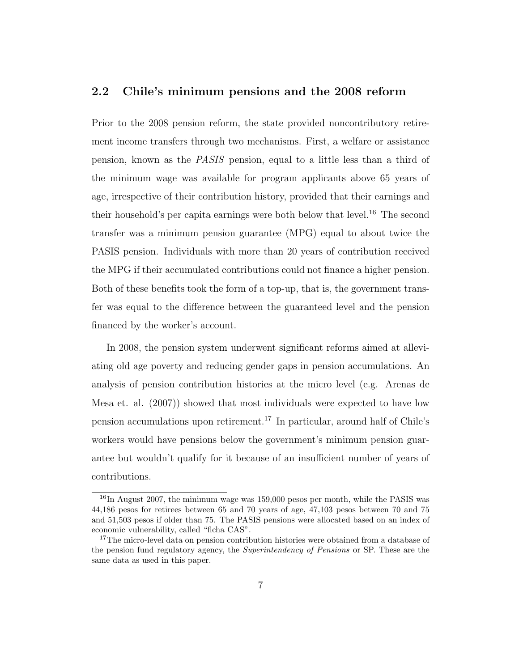#### 2.2 Chile's minimum pensions and the 2008 reform

Prior to the 2008 pension reform, the state provided noncontributory retirement income transfers through two mechanisms. First, a welfare or assistance pension, known as the PASIS pension, equal to a little less than a third of the minimum wage was available for program applicants above 65 years of age, irrespective of their contribution history, provided that their earnings and their household's per capita earnings were both below that level.<sup>16</sup> The second transfer was a minimum pension guarantee (MPG) equal to about twice the PASIS pension. Individuals with more than 20 years of contribution received the MPG if their accumulated contributions could not finance a higher pension. Both of these benefits took the form of a top-up, that is, the government transfer was equal to the difference between the guaranteed level and the pension financed by the worker's account.

In 2008, the pension system underwent significant reforms aimed at alleviating old age poverty and reducing gender gaps in pension accumulations. An analysis of pension contribution histories at the micro level (e.g. Arenas de Mesa et. al. (2007)) showed that most individuals were expected to have low pension accumulations upon retirement.<sup>17</sup> In particular, around half of Chile's workers would have pensions below the government's minimum pension guarantee but wouldn't qualify for it because of an insufficient number of years of contributions.

<sup>16</sup>In August 2007, the minimum wage was 159,000 pesos per month, while the PASIS was 44,186 pesos for retirees between 65 and 70 years of age, 47,103 pesos between 70 and 75 and 51,503 pesos if older than 75. The PASIS pensions were allocated based on an index of economic vulnerability, called "ficha CAS".

<sup>&</sup>lt;sup>17</sup>The micro-level data on pension contribution histories were obtained from a database of the pension fund regulatory agency, the *Superintendency of Pensions* or SP. These are the same data as used in this paper.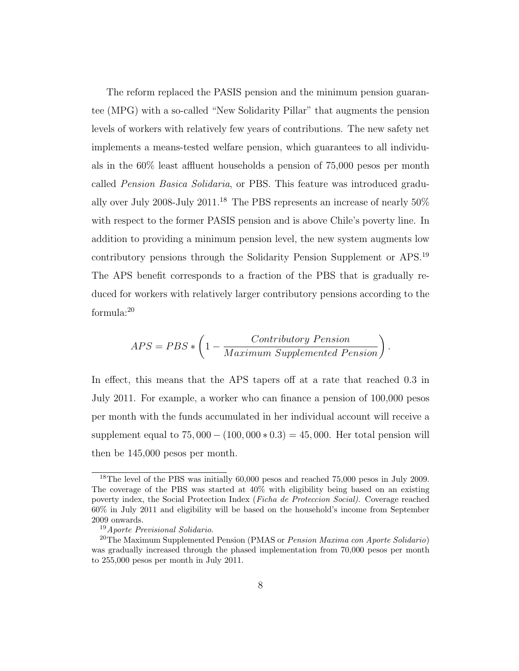The reform replaced the PASIS pension and the minimum pension guarantee (MPG) with a so-called "New Solidarity Pillar" that augments the pension levels of workers with relatively few years of contributions. The new safety net implements a means-tested welfare pension, which guarantees to all individuals in the 60% least affluent households a pension of 75,000 pesos per month called Pension Basica Solidaria, or PBS. This feature was introduced gradually over July 2008-July 2011.<sup>18</sup> The PBS represents an increase of nearly  $50\%$ with respect to the former PASIS pension and is above Chile's poverty line. In addition to providing a minimum pension level, the new system augments low contributory pensions through the Solidarity Pension Supplement or APS.<sup>19</sup> The APS benefit corresponds to a fraction of the PBS that is gradually reduced for workers with relatively larger contributory pensions according to the formula:<sup>20</sup>

$$
APS = PBS * \left(1 - \frac{Continutory \; Pension}{Maximum \; Supplemented \; Pension}\right)
$$

.

In effect, this means that the APS tapers off at a rate that reached 0.3 in July 2011. For example, a worker who can finance a pension of 100,000 pesos per month with the funds accumulated in her individual account will receive a supplement equal to  $75,000 - (100,000 * 0.3) = 45,000$ . Her total pension will then be 145,000 pesos per month.

<sup>&</sup>lt;sup>18</sup>The level of the PBS was initially 60,000 pesos and reached 75,000 pesos in July 2009. The coverage of the PBS was started at 40% with eligibility being based on an existing poverty index, the Social Protection Index (Ficha de Proteccion Social). Coverage reached 60% in July 2011 and eligibility will be based on the household's income from September 2009 onwards.

<sup>19</sup>Aporte Previsional Solidario.

<sup>20</sup>The Maximum Supplemented Pension (PMAS or Pension Maxima con Aporte Solidario) was gradually increased through the phased implementation from 70,000 pesos per month to 255,000 pesos per month in July 2011.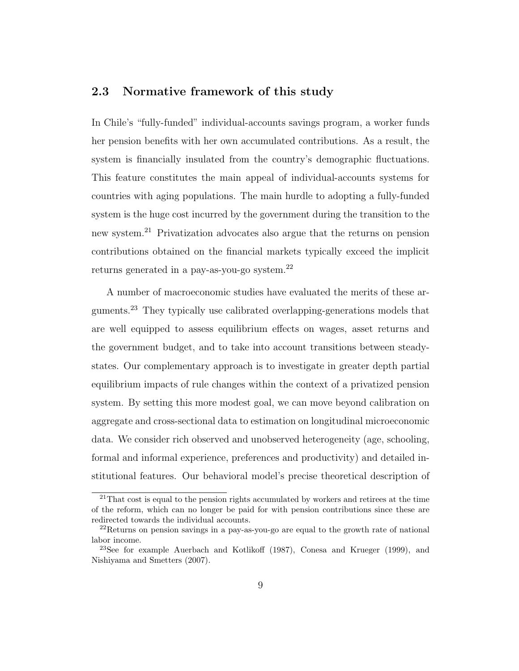### 2.3 Normative framework of this study

In Chile's "fully-funded" individual-accounts savings program, a worker funds her pension benefits with her own accumulated contributions. As a result, the system is financially insulated from the country's demographic fluctuations. This feature constitutes the main appeal of individual-accounts systems for countries with aging populations. The main hurdle to adopting a fully-funded system is the huge cost incurred by the government during the transition to the new system.<sup>21</sup> Privatization advocates also argue that the returns on pension contributions obtained on the financial markets typically exceed the implicit returns generated in a pay-as-you-go system.<sup>22</sup>

A number of macroeconomic studies have evaluated the merits of these arguments.<sup>23</sup> They typically use calibrated overlapping-generations models that are well equipped to assess equilibrium effects on wages, asset returns and the government budget, and to take into account transitions between steadystates. Our complementary approach is to investigate in greater depth partial equilibrium impacts of rule changes within the context of a privatized pension system. By setting this more modest goal, we can move beyond calibration on aggregate and cross-sectional data to estimation on longitudinal microeconomic data. We consider rich observed and unobserved heterogeneity (age, schooling, formal and informal experience, preferences and productivity) and detailed institutional features. Our behavioral model's precise theoretical description of

 $21$ That cost is equal to the pension rights accumulated by workers and retirees at the time of the reform, which can no longer be paid for with pension contributions since these are redirected towards the individual accounts.

 $^{22}$ Returns on pension savings in a pay-as-you-go are equal to the growth rate of national labor income.

<sup>23</sup>See for example Auerbach and Kotlikoff (1987), Conesa and Krueger (1999), and Nishiyama and Smetters (2007).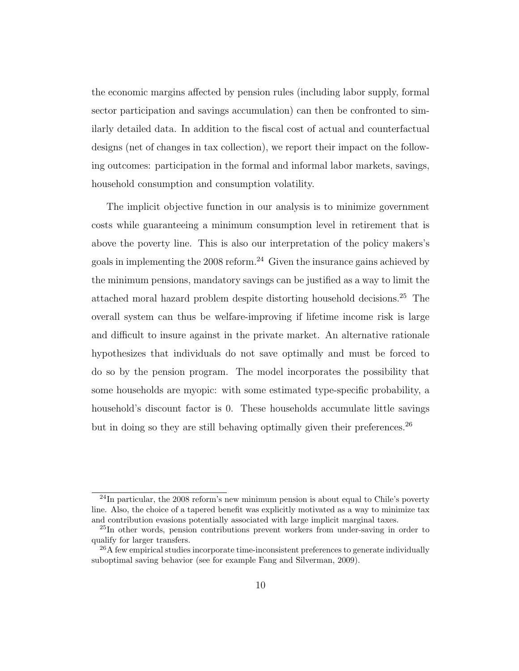the economic margins affected by pension rules (including labor supply, formal sector participation and savings accumulation) can then be confronted to similarly detailed data. In addition to the fiscal cost of actual and counterfactual designs (net of changes in tax collection), we report their impact on the following outcomes: participation in the formal and informal labor markets, savings, household consumption and consumption volatility.

The implicit objective function in our analysis is to minimize government costs while guaranteeing a minimum consumption level in retirement that is above the poverty line. This is also our interpretation of the policy makers's goals in implementing the 2008 reform.<sup>24</sup> Given the insurance gains achieved by the minimum pensions, mandatory savings can be justified as a way to limit the attached moral hazard problem despite distorting household decisions.<sup>25</sup> The overall system can thus be welfare-improving if lifetime income risk is large and difficult to insure against in the private market. An alternative rationale hypothesizes that individuals do not save optimally and must be forced to do so by the pension program. The model incorporates the possibility that some households are myopic: with some estimated type-specific probability, a household's discount factor is 0. These households accumulate little savings but in doing so they are still behaving optimally given their preferences.<sup>26</sup>

 $^{24}$ In particular, the 2008 reform's new minimum pension is about equal to Chile's poverty line. Also, the choice of a tapered benefit was explicitly motivated as a way to minimize tax and contribution evasions potentially associated with large implicit marginal taxes.

<sup>&</sup>lt;sup>25</sup>In other words, pension contributions prevent workers from under-saving in order to qualify for larger transfers.

 $^{26}$ A few empirical studies incorporate time-inconsistent preferences to generate individually suboptimal saving behavior (see for example Fang and Silverman, 2009).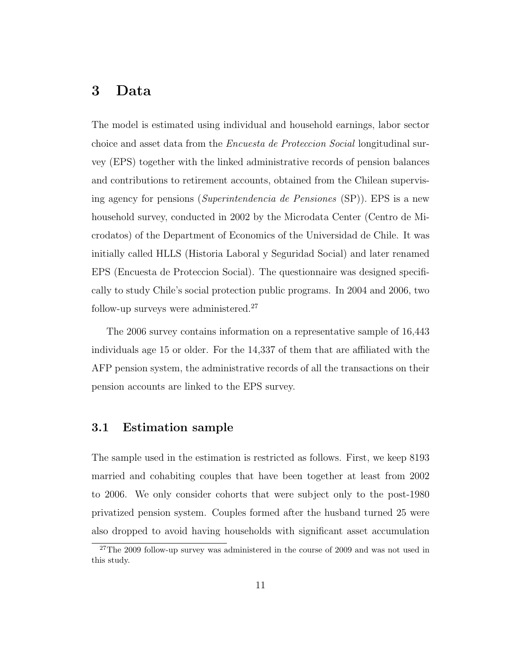### 3 Data

The model is estimated using individual and household earnings, labor sector choice and asset data from the Encuesta de Proteccion Social longitudinal survey (EPS) together with the linked administrative records of pension balances and contributions to retirement accounts, obtained from the Chilean supervising agency for pensions (Superintendencia de Pensiones (SP)). EPS is a new household survey, conducted in 2002 by the Microdata Center (Centro de Microdatos) of the Department of Economics of the Universidad de Chile. It was initially called HLLS (Historia Laboral y Seguridad Social) and later renamed EPS (Encuesta de Proteccion Social). The questionnaire was designed specifically to study Chile's social protection public programs. In 2004 and 2006, two follow-up surveys were administered. $27$ 

The 2006 survey contains information on a representative sample of 16,443 individuals age 15 or older. For the 14,337 of them that are affiliated with the AFP pension system, the administrative records of all the transactions on their pension accounts are linked to the EPS survey.

#### 3.1 Estimation sample

The sample used in the estimation is restricted as follows. First, we keep 8193 married and cohabiting couples that have been together at least from 2002 to 2006. We only consider cohorts that were subject only to the post-1980 privatized pension system. Couples formed after the husband turned 25 were also dropped to avoid having households with significant asset accumulation

<sup>&</sup>lt;sup>27</sup>The 2009 follow-up survey was administered in the course of 2009 and was not used in this study.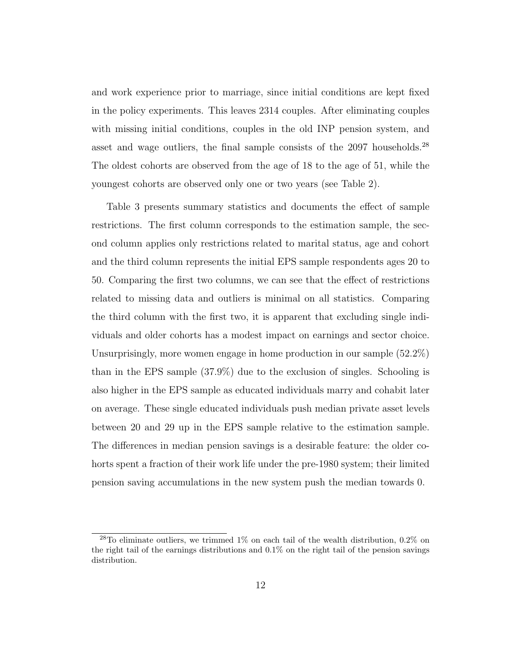and work experience prior to marriage, since initial conditions are kept fixed in the policy experiments. This leaves 2314 couples. After eliminating couples with missing initial conditions, couples in the old INP pension system, and asset and wage outliers, the final sample consists of the 2097 households.<sup>28</sup> The oldest cohorts are observed from the age of 18 to the age of 51, while the youngest cohorts are observed only one or two years (see Table 2).

Table 3 presents summary statistics and documents the effect of sample restrictions. The first column corresponds to the estimation sample, the second column applies only restrictions related to marital status, age and cohort and the third column represents the initial EPS sample respondents ages 20 to 50. Comparing the first two columns, we can see that the effect of restrictions related to missing data and outliers is minimal on all statistics. Comparing the third column with the first two, it is apparent that excluding single individuals and older cohorts has a modest impact on earnings and sector choice. Unsurprisingly, more women engage in home production in our sample (52.2%) than in the EPS sample (37.9%) due to the exclusion of singles. Schooling is also higher in the EPS sample as educated individuals marry and cohabit later on average. These single educated individuals push median private asset levels between 20 and 29 up in the EPS sample relative to the estimation sample. The differences in median pension savings is a desirable feature: the older cohorts spent a fraction of their work life under the pre-1980 system; their limited pension saving accumulations in the new system push the median towards 0.

<sup>28</sup>To eliminate outliers, we trimmed 1% on each tail of the wealth distribution, 0.2% on the right tail of the earnings distributions and 0.1% on the right tail of the pension savings distribution.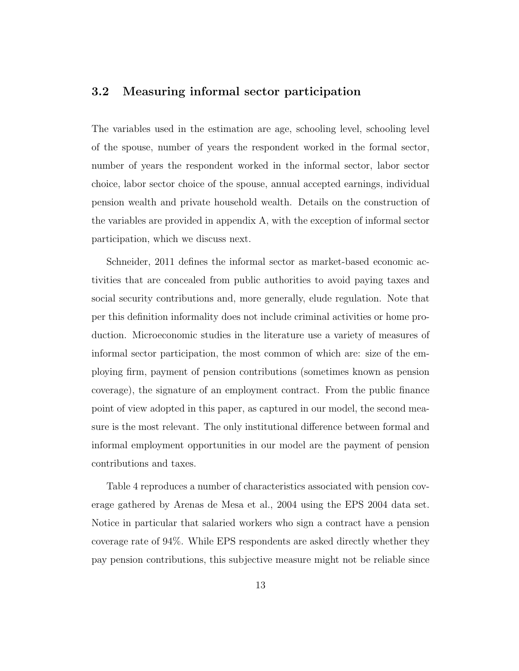### 3.2 Measuring informal sector participation

The variables used in the estimation are age, schooling level, schooling level of the spouse, number of years the respondent worked in the formal sector, number of years the respondent worked in the informal sector, labor sector choice, labor sector choice of the spouse, annual accepted earnings, individual pension wealth and private household wealth. Details on the construction of the variables are provided in appendix A, with the exception of informal sector participation, which we discuss next.

Schneider, 2011 defines the informal sector as market-based economic activities that are concealed from public authorities to avoid paying taxes and social security contributions and, more generally, elude regulation. Note that per this definition informality does not include criminal activities or home production. Microeconomic studies in the literature use a variety of measures of informal sector participation, the most common of which are: size of the employing firm, payment of pension contributions (sometimes known as pension coverage), the signature of an employment contract. From the public finance point of view adopted in this paper, as captured in our model, the second measure is the most relevant. The only institutional difference between formal and informal employment opportunities in our model are the payment of pension contributions and taxes.

Table 4 reproduces a number of characteristics associated with pension coverage gathered by Arenas de Mesa et al., 2004 using the EPS 2004 data set. Notice in particular that salaried workers who sign a contract have a pension coverage rate of 94%. While EPS respondents are asked directly whether they pay pension contributions, this subjective measure might not be reliable since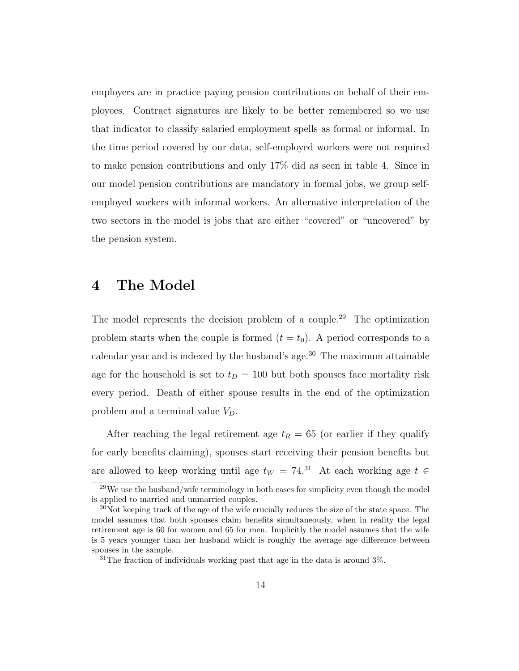employers are in practice paying pension contributions on behalf of their employees. Contract signatures are likely to be better remembered so we use that indicator to classify salaried employment spells as formal or informal. In the time period covered by our data, self-employed workers were not required to make pension contributions and only 17% did as seen in table 4. Since in our model pension contributions are mandatory in formal jobs, we group selfemployed workers with informal workers. An alternative interpretation of the two sectors in the model is jobs that are either "covered" or "uncovered" by the pension system.

### 4 The Model

The model represents the decision problem of a couple.<sup>29</sup> The optimization problem starts when the couple is formed  $(t = t_0)$ . A period corresponds to a calendar year and is indexed by the husband's age.<sup>30</sup> The maximum attainable age for the household is set to  $t_D = 100$  but both spouses face mortality risk every period. Death of either spouse results in the end of the optimization problem and a terminal value  $V_D$ .

After reaching the legal retirement age  $t_R = 65$  (or earlier if they qualify for early benefits claiming), spouses start receiving their pension benefits but are allowed to keep working until age  $t_W = 74.31$  At each working age  $t \in$ 

 $29$ We use the husband/wife terminology in both cases for simplicity even though the model is applied to married and unmarried couples.

 $30$ Not keeping track of the age of the wife crucially reduces the size of the state space. The model assumes that both spouses claim benefits simultaneously, when in reality the legal retirement age is 60 for women and 65 for men. Implicitly the model assumes that the wife is 5 years younger than her husband which is roughly the average age difference between spouses in the sample.

 $31$ The fraction of individuals working past that age in the data is around  $3\%$ .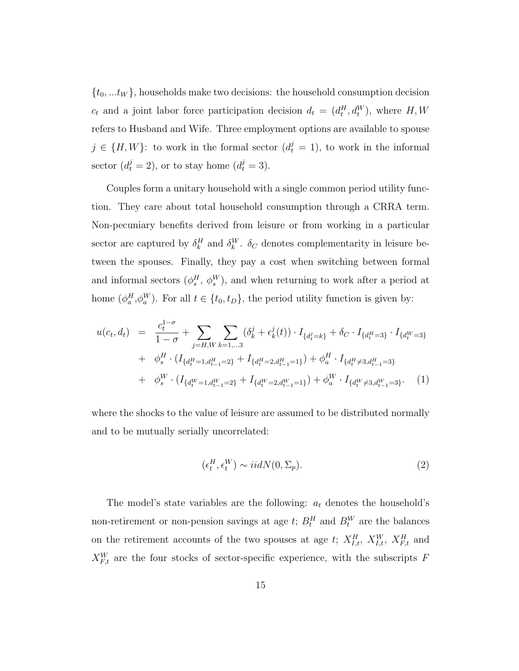$\{t_0, ... t_W\}$ , households make two decisions: the household consumption decision  $c_t$  and a joint labor force participation decision  $d_t = (d_t^H, d_t^W)$ , where  $H, W$ refers to Husband and Wife. Three employment options are available to spouse  $j \in \{H, W\}$ : to work in the formal sector  $(d_t^j = 1)$ , to work in the informal sector  $(d_t^j = 2)$ , or to stay home  $(d_t^j = 3)$ .

Couples form a unitary household with a single common period utility function. They care about total household consumption through a CRRA term. Non-pecuniary benefits derived from leisure or from working in a particular sector are captured by  $\delta_k^H$  and  $\delta_k^W$ .  $\delta_C$  denotes complementarity in leisure between the spouses. Finally, they pay a cost when switching between formal and informal sectors  $(\phi_s^H, \phi_s^W)$ , and when returning to work after a period at home  $(\phi_a^H, \phi_a^W)$ . For all  $t \in \{t_0, t_D\}$ , the period utility function is given by:

$$
u(c_t, d_t) = \frac{c_t^{1-\sigma}}{1-\sigma} + \sum_{j=H,W} \sum_{k=1,...3} (\delta_k^j + \epsilon_k^j(t)) \cdot I_{\{d_t^j = k\}} + \delta_C \cdot I_{\{d_t^H = 3\}} \cdot I_{\{d_t^W = 3\}}
$$
  
+ 
$$
\phi_s^H \cdot (I_{\{d_t^H = 1, d_{t-1}^H = 2\}} + I_{\{d_t^H = 2, d_{t-1}^H = 1\}}) + \phi_a^H \cdot I_{\{d_t^H \neq 3, d_{t-1}^H = 3\}}
$$
  
+ 
$$
\phi_s^W \cdot (I_{\{d_t^W = 1, d_{t-1}^W = 2\}} + I_{\{d_t^W = 2, d_{t-1}^W = 1\}}) + \phi_a^W \cdot I_{\{d_t^W \neq 3, d_{t-1}^W = 3\}}.
$$
 (1)

where the shocks to the value of leisure are assumed to be distributed normally and to be mutually serially uncorrelated:

$$
(\epsilon_t^H, \epsilon_t^W) \sim i i dN(0, \Sigma_p). \tag{2}
$$

The model's state variables are the following:  $a_t$  denotes the household's non-retirement or non-pension savings at age  $t$ ;  $B_t^H$  and  $B_t^W$  are the balances on the retirement accounts of the two spouses at age t;  $X_{I,t}^H$ ,  $X_{I,t}^W$ ,  $X_{F,t}^H$  and  $X_{F,t}^W$  are the four stocks of sector-specific experience, with the subscripts F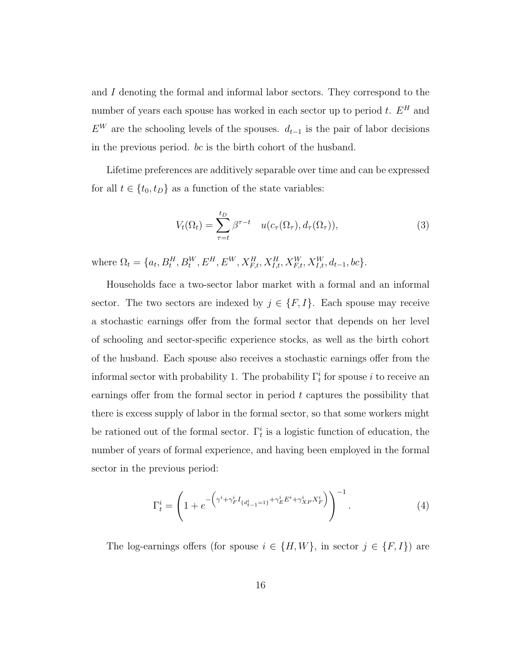and I denoting the formal and informal labor sectors. They correspond to the number of years each spouse has worked in each sector up to period  $t$ .  $E^H$  and  $E^W$  are the schooling levels of the spouses.  $d_{t-1}$  is the pair of labor decisions in the previous period. bc is the birth cohort of the husband.

Lifetime preferences are additively separable over time and can be expressed for all  $t \in \{t_0, t_D\}$  as a function of the state variables:

$$
V_t(\Omega_t) = \sum_{\tau=t}^{t_D} \beta^{\tau-t} \quad u(c_\tau(\Omega_\tau), d_\tau(\Omega_\tau)), \tag{3}
$$

where  $\Omega_t = \{a_t, B_t^H, B_t^W, E^H, E^W, X_{F,t}^H, X_{I,t}^H, X_{F,t}^W, X_{I,t}^W, d_{t-1}, bc\}.$ 

Households face a two-sector labor market with a formal and an informal sector. The two sectors are indexed by  $j \in \{F, I\}$ . Each spouse may receive a stochastic earnings offer from the formal sector that depends on her level of schooling and sector-specific experience stocks, as well as the birth cohort of the husband. Each spouse also receives a stochastic earnings offer from the informal sector with probability 1. The probability  $\Gamma_t^i$  for spouse i to receive an earnings offer from the formal sector in period t captures the possibility that there is excess supply of labor in the formal sector, so that some workers might be rationed out of the formal sector.  $\Gamma_t^i$  is a logistic function of education, the number of years of formal experience, and having been employed in the formal sector in the previous period:

$$
\Gamma_t^i = \left( 1 + e^{-\left(\gamma^i + \gamma_F^i I_{\{d_{t-1}^i = 1\}} + \gamma_E^i E^i + \gamma_{XP}^i X_F^i\right)} \right)^{-1}.
$$
\n(4)

The log-earnings offers (for spouse  $i \in \{H, W\}$ , in sector  $j \in \{F, I\}$ ) are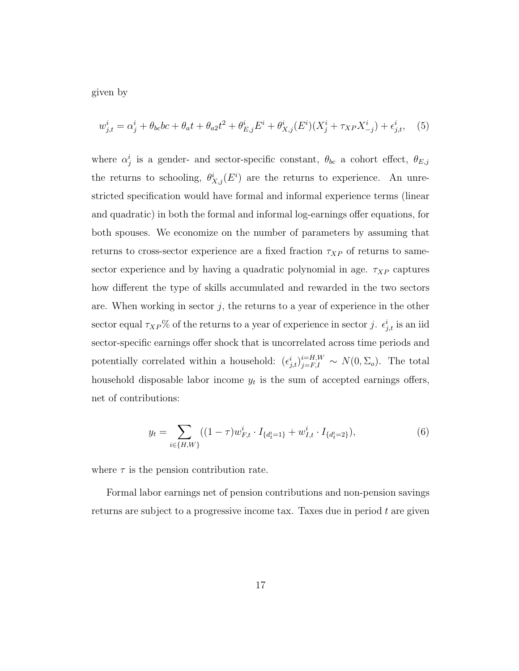given by

$$
w_{j,t}^i = \alpha_j^i + \theta_{bc}bc + \theta_a t + \theta_{a2}t^2 + \theta_{E,j}^i E^i + \theta_{X,j}^i (E^i)(X_j^i + \tau_{XP} X_{-j}^i) + \epsilon_{j,t}^i, \quad (5)
$$

where  $\alpha_j^i$  is a gender- and sector-specific constant,  $\theta_{bc}$  a cohort effect,  $\theta_{E,j}$ the returns to schooling,  $\theta_{X,j}^i(E^i)$  are the returns to experience. An unrestricted specification would have formal and informal experience terms (linear and quadratic) in both the formal and informal log-earnings offer equations, for both spouses. We economize on the number of parameters by assuming that returns to cross-sector experience are a fixed fraction  $\tau_{XP}$  of returns to samesector experience and by having a quadratic polynomial in age.  $\tau_{XP}$  captures how different the type of skills accumulated and rewarded in the two sectors are. When working in sector  $j$ , the returns to a year of experience in the other sector equal  $\tau_{XP}$ % of the returns to a year of experience in sector j.  $\epsilon^{i}_{j,t}$  is an iid sector-specific earnings offer shock that is uncorrelated across time periods and potentially correlated within a household:  $(\epsilon_{j,t}^i)_{j=F,I}^{i=H,W} \sim N(0, \Sigma_o)$ . The total household disposable labor income  $y_t$  is the sum of accepted earnings offers, net of contributions:

$$
y_t = \sum_{i \in \{H, W\}} ((1 - \tau) w_{F, t}^i \cdot I_{\{d_t^i = 1\}} + w_{I, t}^i \cdot I_{\{d_t^i = 2\}}),
$$
\n
$$
(6)
$$

where  $\tau$  is the pension contribution rate.

Formal labor earnings net of pension contributions and non-pension savings returns are subject to a progressive income tax. Taxes due in period  $t$  are given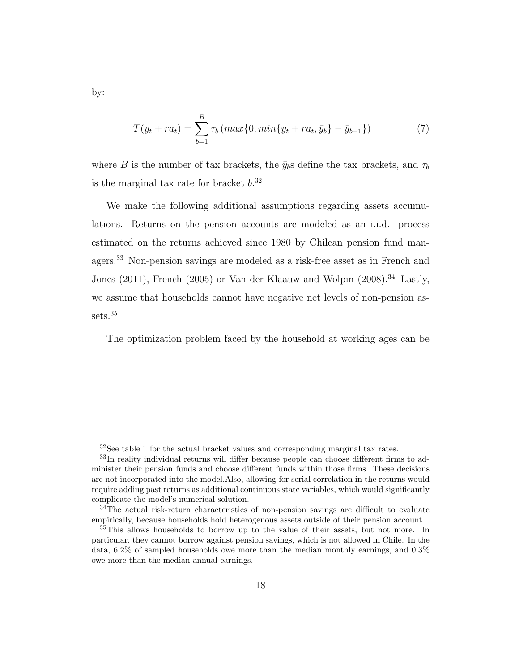by:

$$
T(y_t + ra_t) = \sum_{b=1}^{B} \tau_b \left( max\{0, min\{y_t + ra_t, \bar{y}_b\} - \bar{y}_{b-1}\}\right) \tag{7}
$$

where B is the number of tax brackets, the  $\bar{y}_b$ s define the tax brackets, and  $\tau_b$ is the marginal tax rate for bracket  $b$ <sup>32</sup>

We make the following additional assumptions regarding assets accumulations. Returns on the pension accounts are modeled as an i.i.d. process estimated on the returns achieved since 1980 by Chilean pension fund managers.<sup>33</sup> Non-pension savings are modeled as a risk-free asset as in French and Jones (2011), French (2005) or Van der Klaauw and Wolpin (2008).<sup>34</sup> Lastly, we assume that households cannot have negative net levels of non-pension assets.<sup>35</sup>

The optimization problem faced by the household at working ages can be

<sup>32</sup>See table 1 for the actual bracket values and corresponding marginal tax rates.

<sup>33</sup>In reality individual returns will differ because people can choose different firms to administer their pension funds and choose different funds within those firms. These decisions are not incorporated into the model.Also, allowing for serial correlation in the returns would require adding past returns as additional continuous state variables, which would significantly complicate the model's numerical solution.

<sup>34</sup>The actual risk-return characteristics of non-pension savings are difficult to evaluate empirically, because households hold heterogenous assets outside of their pension account.

<sup>&</sup>lt;sup>35</sup>This allows households to borrow up to the value of their assets, but not more. In particular, they cannot borrow against pension savings, which is not allowed in Chile. In the data, 6.2% of sampled households owe more than the median monthly earnings, and 0.3% owe more than the median annual earnings.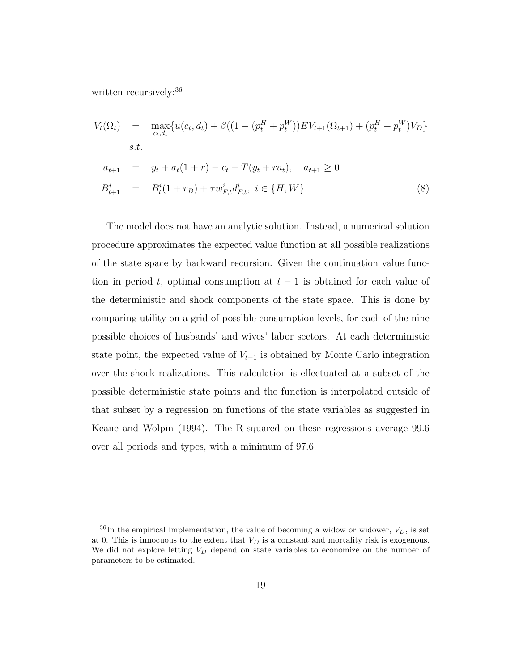written recursively:<sup>36</sup>

$$
V_t(\Omega_t) = \max_{c_t, d_t} \{ u(c_t, d_t) + \beta((1 - (p_t^H + p_t^W))EV_{t+1}(\Omega_{t+1}) + (p_t^H + p_t^W)V_D \}
$$
  
s.t.  

$$
a_{t+1} = y_t + a_t(1+r) - c_t - T(y_t + ra_t), \quad a_{t+1} \ge 0
$$
  

$$
B_{t+1}^i = B_t^i(1 + r_B) + \tau w_{F,t}^i d_{F,t}^i, \quad i \in \{H, W\}.
$$
 (8)

The model does not have an analytic solution. Instead, a numerical solution procedure approximates the expected value function at all possible realizations of the state space by backward recursion. Given the continuation value function in period t, optimal consumption at  $t-1$  is obtained for each value of the deterministic and shock components of the state space. This is done by comparing utility on a grid of possible consumption levels, for each of the nine possible choices of husbands' and wives' labor sectors. At each deterministic state point, the expected value of  $V_{t-1}$  is obtained by Monte Carlo integration over the shock realizations. This calculation is effectuated at a subset of the possible deterministic state points and the function is interpolated outside of that subset by a regression on functions of the state variables as suggested in Keane and Wolpin (1994). The R-squared on these regressions average 99.6 over all periods and types, with a minimum of 97.6.

 $36$ In the empirical implementation, the value of becoming a widow or widower,  $V_D$ , is set at 0. This is innocuous to the extent that  $V_D$  is a constant and mortality risk is exogenous. We did not explore letting  $V_D$  depend on state variables to economize on the number of parameters to be estimated.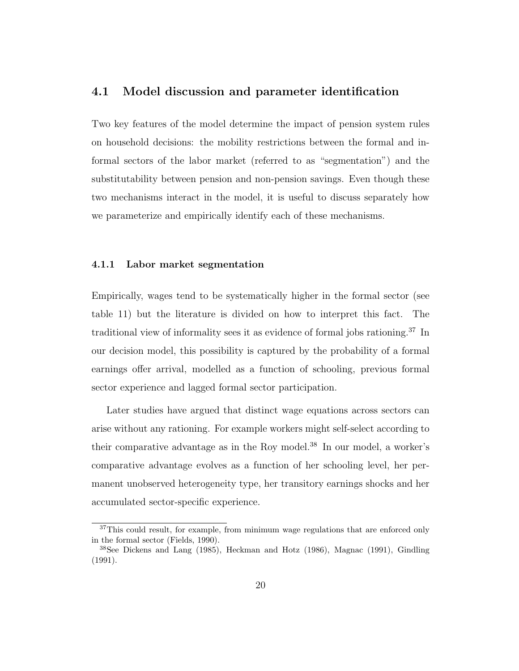#### 4.1 Model discussion and parameter identification

Two key features of the model determine the impact of pension system rules on household decisions: the mobility restrictions between the formal and informal sectors of the labor market (referred to as "segmentation") and the substitutability between pension and non-pension savings. Even though these two mechanisms interact in the model, it is useful to discuss separately how we parameterize and empirically identify each of these mechanisms.

#### 4.1.1 Labor market segmentation

Empirically, wages tend to be systematically higher in the formal sector (see table 11) but the literature is divided on how to interpret this fact. The traditional view of informality sees it as evidence of formal jobs rationing.<sup>37</sup> In our decision model, this possibility is captured by the probability of a formal earnings offer arrival, modelled as a function of schooling, previous formal sector experience and lagged formal sector participation.

Later studies have argued that distinct wage equations across sectors can arise without any rationing. For example workers might self-select according to their comparative advantage as in the Roy model.<sup>38</sup> In our model, a worker's comparative advantage evolves as a function of her schooling level, her permanent unobserved heterogeneity type, her transitory earnings shocks and her accumulated sector-specific experience.

<sup>&</sup>lt;sup>37</sup>This could result, for example, from minimum wage regulations that are enforced only in the formal sector (Fields, 1990).

<sup>38</sup>See Dickens and Lang (1985), Heckman and Hotz (1986), Magnac (1991), Gindling (1991).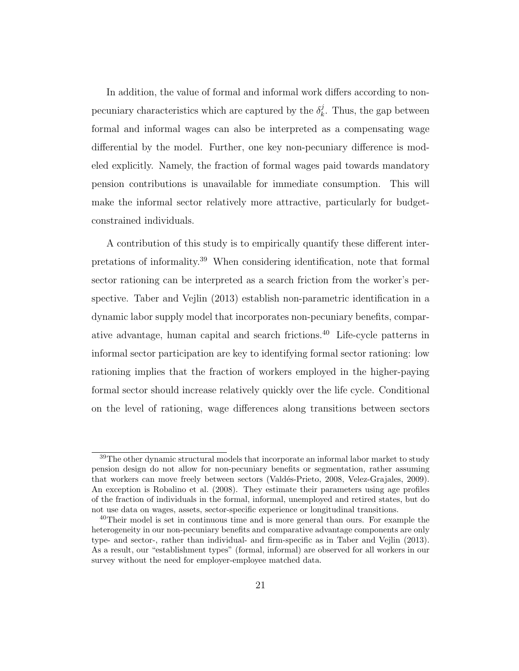In addition, the value of formal and informal work differs according to nonpecuniary characteristics which are captured by the  $\delta_k^j$  $\frac{\partial}{\partial k}$ . Thus, the gap between formal and informal wages can also be interpreted as a compensating wage differential by the model. Further, one key non-pecuniary difference is modeled explicitly. Namely, the fraction of formal wages paid towards mandatory pension contributions is unavailable for immediate consumption. This will make the informal sector relatively more attractive, particularly for budgetconstrained individuals.

A contribution of this study is to empirically quantify these different interpretations of informality.<sup>39</sup> When considering identification, note that formal sector rationing can be interpreted as a search friction from the worker's perspective. Taber and Vejlin (2013) establish non-parametric identification in a dynamic labor supply model that incorporates non-pecuniary benefits, comparative advantage, human capital and search frictions.<sup>40</sup> Life-cycle patterns in informal sector participation are key to identifying formal sector rationing: low rationing implies that the fraction of workers employed in the higher-paying formal sector should increase relatively quickly over the life cycle. Conditional on the level of rationing, wage differences along transitions between sectors

<sup>&</sup>lt;sup>39</sup>The other dynamic structural models that incorporate an informal labor market to study pension design do not allow for non-pecuniary benefits or segmentation, rather assuming that workers can move freely between sectors (Valdés-Prieto, 2008, Velez-Grajales, 2009). An exception is Robalino et al. (2008). They estimate their parameters using age profiles of the fraction of individuals in the formal, informal, unemployed and retired states, but do not use data on wages, assets, sector-specific experience or longitudinal transitions.

<sup>40</sup>Their model is set in continuous time and is more general than ours. For example the heterogeneity in our non-pecuniary benefits and comparative advantage components are only type- and sector-, rather than individual- and firm-specific as in Taber and Vejlin (2013). As a result, our "establishment types" (formal, informal) are observed for all workers in our survey without the need for employer-employee matched data.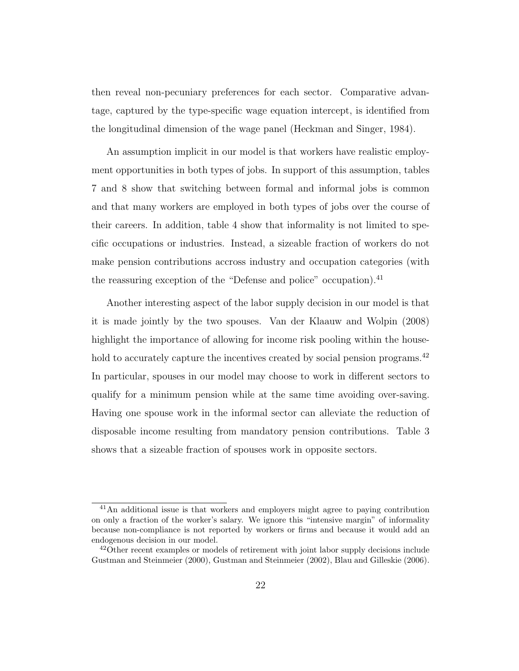then reveal non-pecuniary preferences for each sector. Comparative advantage, captured by the type-specific wage equation intercept, is identified from the longitudinal dimension of the wage panel (Heckman and Singer, 1984).

An assumption implicit in our model is that workers have realistic employment opportunities in both types of jobs. In support of this assumption, tables 7 and 8 show that switching between formal and informal jobs is common and that many workers are employed in both types of jobs over the course of their careers. In addition, table 4 show that informality is not limited to specific occupations or industries. Instead, a sizeable fraction of workers do not make pension contributions accross industry and occupation categories (with the reassuring exception of the "Defense and police" occupation).  $41$ 

Another interesting aspect of the labor supply decision in our model is that it is made jointly by the two spouses. Van der Klaauw and Wolpin (2008) highlight the importance of allowing for income risk pooling within the household to accurately capture the incentives created by social pension programs.<sup>42</sup> In particular, spouses in our model may choose to work in different sectors to qualify for a minimum pension while at the same time avoiding over-saving. Having one spouse work in the informal sector can alleviate the reduction of disposable income resulting from mandatory pension contributions. Table 3 shows that a sizeable fraction of spouses work in opposite sectors.

<sup>&</sup>lt;sup>41</sup>An additional issue is that workers and employers might agree to paying contribution on only a fraction of the worker's salary. We ignore this "intensive margin" of informality because non-compliance is not reported by workers or firms and because it would add an endogenous decision in our model.

<sup>42</sup>Other recent examples or models of retirement with joint labor supply decisions include Gustman and Steinmeier (2000), Gustman and Steinmeier (2002), Blau and Gilleskie (2006).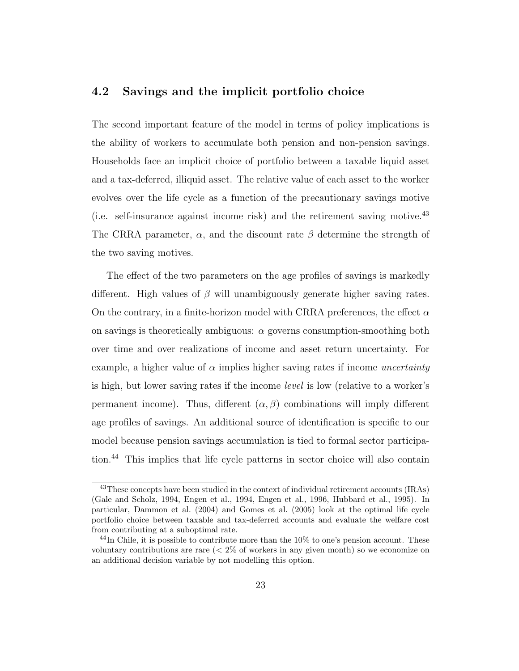### 4.2 Savings and the implicit portfolio choice

The second important feature of the model in terms of policy implications is the ability of workers to accumulate both pension and non-pension savings. Households face an implicit choice of portfolio between a taxable liquid asset and a tax-deferred, illiquid asset. The relative value of each asset to the worker evolves over the life cycle as a function of the precautionary savings motive (i.e. self-insurance against income risk) and the retirement saving motive.<sup>43</sup> The CRRA parameter,  $\alpha$ , and the discount rate  $\beta$  determine the strength of the two saving motives.

The effect of the two parameters on the age profiles of savings is markedly different. High values of  $\beta$  will unambiguously generate higher saving rates. On the contrary, in a finite-horizon model with CRRA preferences, the effect  $\alpha$ on savings is theoretically ambiguous:  $\alpha$  governs consumption-smoothing both over time and over realizations of income and asset return uncertainty. For example, a higher value of  $\alpha$  implies higher saving rates if income *uncertainty* is high, but lower saving rates if the income level is low (relative to a worker's permanent income). Thus, different  $(\alpha, \beta)$  combinations will imply different age profiles of savings. An additional source of identification is specific to our model because pension savings accumulation is tied to formal sector participation.<sup>44</sup> This implies that life cycle patterns in sector choice will also contain

<sup>43</sup>These concepts have been studied in the context of individual retirement accounts (IRAs) (Gale and Scholz, 1994, Engen et al., 1994, Engen et al., 1996, Hubbard et al., 1995). In particular, Dammon et al. (2004) and Gomes et al. (2005) look at the optimal life cycle portfolio choice between taxable and tax-deferred accounts and evaluate the welfare cost from contributing at a suboptimal rate.

 $^{44}$ In Chile, it is possible to contribute more than the 10% to one's pension account. These voluntary contributions are rare  $\langle 2\%$  of workers in any given month) so we economize on an additional decision variable by not modelling this option.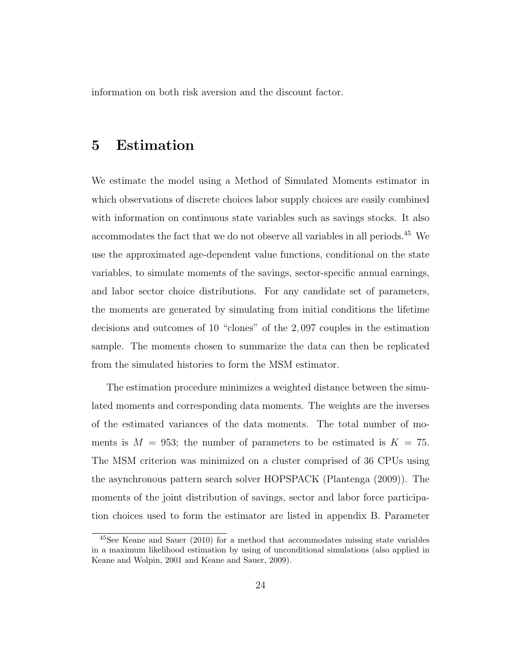information on both risk aversion and the discount factor.

### 5 Estimation

We estimate the model using a Method of Simulated Moments estimator in which observations of discrete choices labor supply choices are easily combined with information on continuous state variables such as savings stocks. It also accommodates the fact that we do not observe all variables in all periods.<sup>45</sup> We use the approximated age-dependent value functions, conditional on the state variables, to simulate moments of the savings, sector-specific annual earnings, and labor sector choice distributions. For any candidate set of parameters, the moments are generated by simulating from initial conditions the lifetime decisions and outcomes of 10 "clones" of the 2, 097 couples in the estimation sample. The moments chosen to summarize the data can then be replicated from the simulated histories to form the MSM estimator.

The estimation procedure minimizes a weighted distance between the simulated moments and corresponding data moments. The weights are the inverses of the estimated variances of the data moments. The total number of moments is  $M = 953$ ; the number of parameters to be estimated is  $K = 75$ . The MSM criterion was minimized on a cluster comprised of 36 CPUs using the asynchronous pattern search solver HOPSPACK (Plantenga (2009)). The moments of the joint distribution of savings, sector and labor force participation choices used to form the estimator are listed in appendix B. Parameter

<sup>45</sup>See Keane and Sauer (2010) for a method that accommodates missing state variables in a maximum likelihood estimation by using of unconditional simulations (also applied in Keane and Wolpin, 2001 and Keane and Sauer, 2009).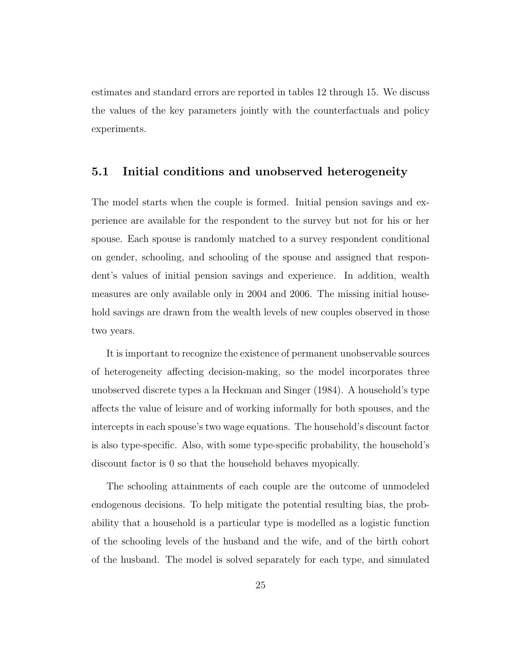estimates and standard errors are reported in tables 12 through 15. We discuss the values of the key parameters jointly with the counterfactuals and policy experiments.

#### 5.1 Initial conditions and unobserved heterogeneity

The model starts when the couple is formed. Initial pension savings and experience are available for the respondent to the survey but not for his or her spouse. Each spouse is randomly matched to a survey respondent conditional on gender, schooling, and schooling of the spouse and assigned that respondent's values of initial pension savings and experience. In addition, wealth measures are only available only in 2004 and 2006. The missing initial household savings are drawn from the wealth levels of new couples observed in those two years.

It is important to recognize the existence of permanent unobservable sources of heterogeneity affecting decision-making, so the model incorporates three unobserved discrete types a la Heckman and Singer (1984). A household's type affects the value of leisure and of working informally for both spouses, and the intercepts in each spouse's two wage equations. The household's discount factor is also type-specific. Also, with some type-specific probability, the household's discount factor is 0 so that the household behaves myopically.

The schooling attainments of each couple are the outcome of unmodeled endogenous decisions. To help mitigate the potential resulting bias, the probability that a household is a particular type is modelled as a logistic function of the schooling levels of the husband and the wife, and of the birth cohort of the husband. The model is solved separately for each type, and simulated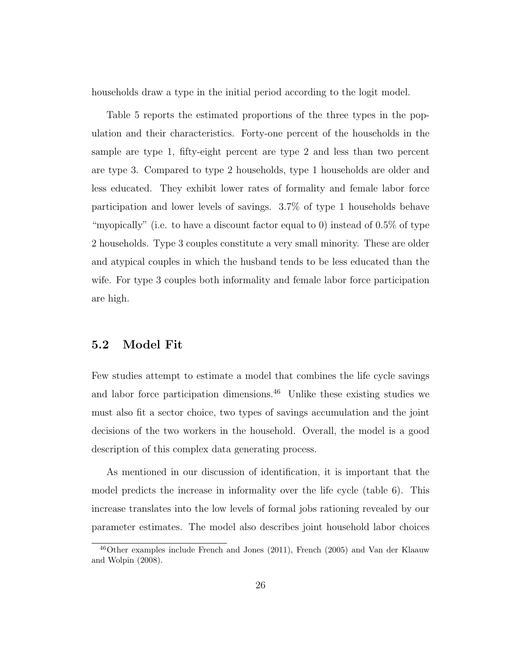households draw a type in the initial period according to the logit model.

Table 5 reports the estimated proportions of the three types in the population and their characteristics. Forty-one percent of the households in the sample are type 1, fifty-eight percent are type 2 and less than two percent are type 3. Compared to type 2 households, type 1 households are older and less educated. They exhibit lower rates of formality and female labor force participation and lower levels of savings. 3.7% of type 1 households behave "myopically" (i.e. to have a discount factor equal to 0) instead of  $0.5\%$  of type 2 households. Type 3 couples constitute a very small minority. These are older and atypical couples in which the husband tends to be less educated than the wife. For type 3 couples both informality and female labor force participation are high.

### 5.2 Model Fit

Few studies attempt to estimate a model that combines the life cycle savings and labor force participation dimensions. $46$  Unlike these existing studies we must also fit a sector choice, two types of savings accumulation and the joint decisions of the two workers in the household. Overall, the model is a good description of this complex data generating process.

As mentioned in our discussion of identification, it is important that the model predicts the increase in informality over the life cycle (table 6). This increase translates into the low levels of formal jobs rationing revealed by our parameter estimates. The model also describes joint household labor choices

<sup>46</sup>Other examples include French and Jones (2011), French (2005) and Van der Klaauw and Wolpin (2008).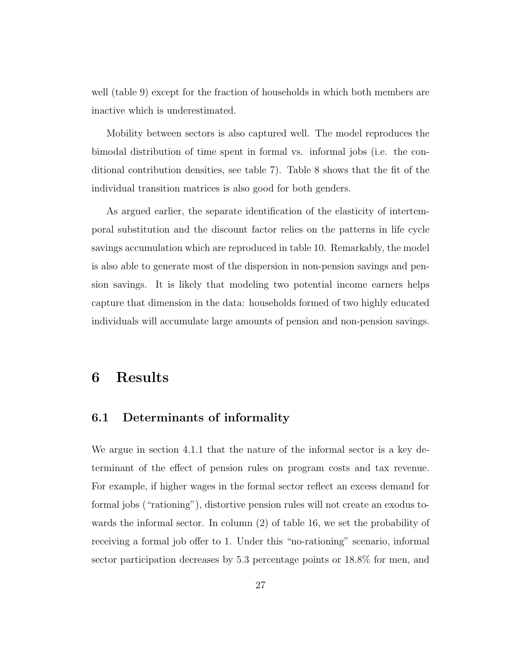well (table 9) except for the fraction of households in which both members are inactive which is underestimated.

Mobility between sectors is also captured well. The model reproduces the bimodal distribution of time spent in formal vs. informal jobs (i.e. the conditional contribution densities, see table 7). Table 8 shows that the fit of the individual transition matrices is also good for both genders.

As argued earlier, the separate identification of the elasticity of intertemporal substitution and the discount factor relies on the patterns in life cycle savings accumulation which are reproduced in table 10. Remarkably, the model is also able to generate most of the dispersion in non-pension savings and pension savings. It is likely that modeling two potential income earners helps capture that dimension in the data: households formed of two highly educated individuals will accumulate large amounts of pension and non-pension savings.

### 6 Results

### 6.1 Determinants of informality

We argue in section 4.1.1 that the nature of the informal sector is a key determinant of the effect of pension rules on program costs and tax revenue. For example, if higher wages in the formal sector reflect an excess demand for formal jobs ("rationing"), distortive pension rules will not create an exodus towards the informal sector. In column (2) of table 16, we set the probability of receiving a formal job offer to 1. Under this "no-rationing" scenario, informal sector participation decreases by 5.3 percentage points or 18.8% for men, and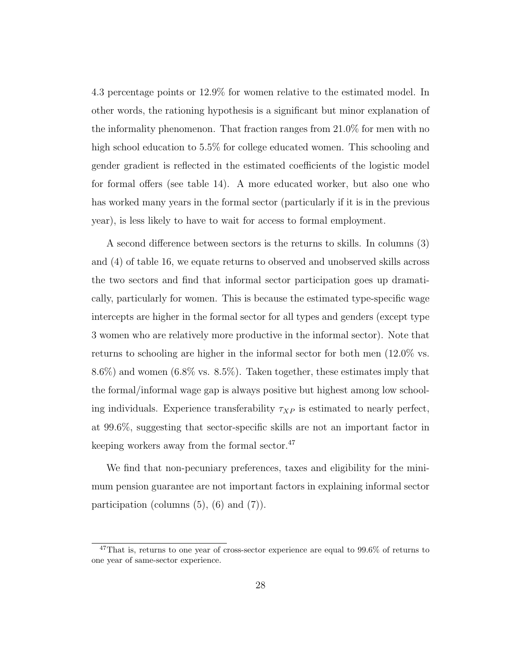4.3 percentage points or 12.9% for women relative to the estimated model. In other words, the rationing hypothesis is a significant but minor explanation of the informality phenomenon. That fraction ranges from 21.0% for men with no high school education to 5.5% for college educated women. This schooling and gender gradient is reflected in the estimated coefficients of the logistic model for formal offers (see table 14). A more educated worker, but also one who has worked many years in the formal sector (particularly if it is in the previous year), is less likely to have to wait for access to formal employment.

A second difference between sectors is the returns to skills. In columns (3) and (4) of table 16, we equate returns to observed and unobserved skills across the two sectors and find that informal sector participation goes up dramatically, particularly for women. This is because the estimated type-specific wage intercepts are higher in the formal sector for all types and genders (except type 3 women who are relatively more productive in the informal sector). Note that returns to schooling are higher in the informal sector for both men (12.0% vs. 8.6%) and women (6.8% vs. 8.5%). Taken together, these estimates imply that the formal/informal wage gap is always positive but highest among low schooling individuals. Experience transferability  $\tau_{XP}$  is estimated to nearly perfect, at 99.6%, suggesting that sector-specific skills are not an important factor in keeping workers away from the formal sector.<sup>47</sup>

We find that non-pecuniary preferences, taxes and eligibility for the minimum pension guarantee are not important factors in explaining informal sector participation (columns  $(5)$ ,  $(6)$  and  $(7)$ ).

 $47$ That is, returns to one year of cross-sector experience are equal to 99.6% of returns to one year of same-sector experience.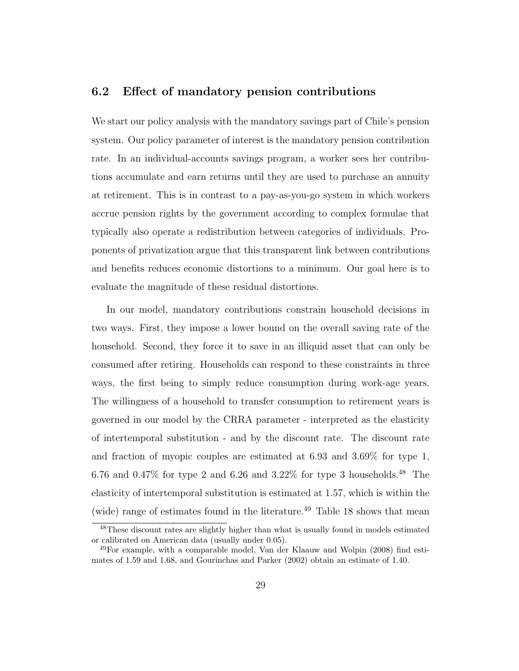#### 6.2 Effect of mandatory pension contributions

We start our policy analysis with the mandatory savings part of Chile's pension system. Our policy parameter of interest is the mandatory pension contribution rate. In an individual-accounts savings program, a worker sees her contributions accumulate and earn returns until they are used to purchase an annuity at retirement. This is in contrast to a pay-as-you-go system in which workers accrue pension rights by the government according to complex formulae that typically also operate a redistribution between categories of individuals. Proponents of privatization argue that this transparent link between contributions and benefits reduces economic distortions to a minimum. Our goal here is to evaluate the magnitude of these residual distortions.

In our model, mandatory contributions constrain household decisions in two ways. First, they impose a lower bound on the overall saving rate of the household. Second, they force it to save in an illiquid asset that can only be consumed after retiring. Households can respond to these constraints in three ways, the first being to simply reduce consumption during work-age years. The willingness of a household to transfer consumption to retirement years is governed in our model by the CRRA parameter - interpreted as the elasticity of intertemporal substitution - and by the discount rate. The discount rate and fraction of myopic couples are estimated at 6.93 and 3.69% for type 1, 6.76 and 0.47% for type 2 and 6.26 and 3.22% for type 3 households.<sup>48</sup> The elasticity of intertemporal substitution is estimated at 1.57, which is within the (wide) range of estimates found in the literature.<sup>49</sup> Table 18 shows that mean

<sup>&</sup>lt;sup>48</sup>These discount rates are slightly higher than what is usually found in models estimated or calibrated on American data (usually under 0.05).

<sup>49</sup>For example, with a comparable model, Van der Klaauw and Wolpin (2008) find estimates of 1.59 and 1.68, and Gourinchas and Parker (2002) obtain an estimate of 1.40.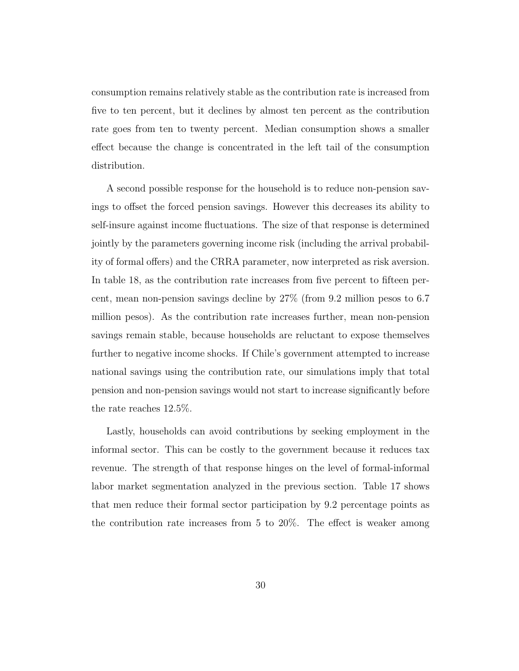consumption remains relatively stable as the contribution rate is increased from five to ten percent, but it declines by almost ten percent as the contribution rate goes from ten to twenty percent. Median consumption shows a smaller effect because the change is concentrated in the left tail of the consumption distribution.

A second possible response for the household is to reduce non-pension savings to offset the forced pension savings. However this decreases its ability to self-insure against income fluctuations. The size of that response is determined jointly by the parameters governing income risk (including the arrival probability of formal offers) and the CRRA parameter, now interpreted as risk aversion. In table 18, as the contribution rate increases from five percent to fifteen percent, mean non-pension savings decline by 27% (from 9.2 million pesos to 6.7 million pesos). As the contribution rate increases further, mean non-pension savings remain stable, because households are reluctant to expose themselves further to negative income shocks. If Chile's government attempted to increase national savings using the contribution rate, our simulations imply that total pension and non-pension savings would not start to increase significantly before the rate reaches 12.5%.

Lastly, households can avoid contributions by seeking employment in the informal sector. This can be costly to the government because it reduces tax revenue. The strength of that response hinges on the level of formal-informal labor market segmentation analyzed in the previous section. Table 17 shows that men reduce their formal sector participation by 9.2 percentage points as the contribution rate increases from 5 to 20%. The effect is weaker among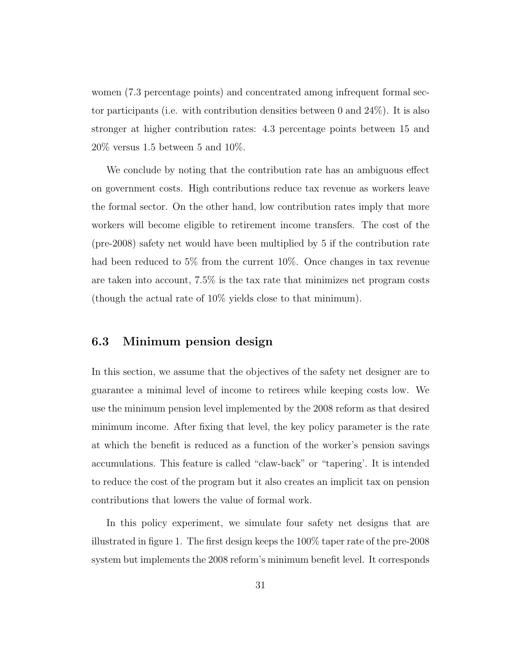women (7.3 percentage points) and concentrated among infrequent formal sector participants (i.e. with contribution densities between 0 and 24%). It is also stronger at higher contribution rates: 4.3 percentage points between 15 and  $20\%$  versus 1.5 between 5 and 10%.

We conclude by noting that the contribution rate has an ambiguous effect on government costs. High contributions reduce tax revenue as workers leave the formal sector. On the other hand, low contribution rates imply that more workers will become eligible to retirement income transfers. The cost of the (pre-2008) safety net would have been multiplied by 5 if the contribution rate had been reduced to 5% from the current 10%. Once changes in tax revenue are taken into account, 7.5% is the tax rate that minimizes net program costs (though the actual rate of 10% yields close to that minimum).

### 6.3 Minimum pension design

In this section, we assume that the objectives of the safety net designer are to guarantee a minimal level of income to retirees while keeping costs low. We use the minimum pension level implemented by the 2008 reform as that desired minimum income. After fixing that level, the key policy parameter is the rate at which the benefit is reduced as a function of the worker's pension savings accumulations. This feature is called "claw-back" or "tapering'. It is intended to reduce the cost of the program but it also creates an implicit tax on pension contributions that lowers the value of formal work.

In this policy experiment, we simulate four safety net designs that are illustrated in figure 1. The first design keeps the 100% taper rate of the pre-2008 system but implements the 2008 reform's minimum benefit level. It corresponds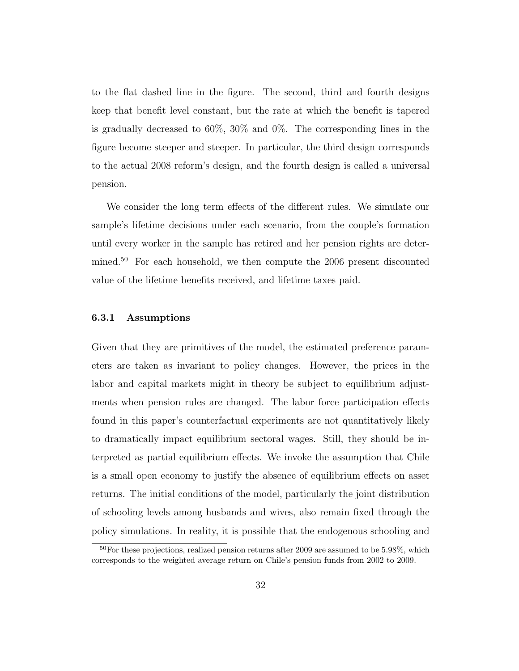to the flat dashed line in the figure. The second, third and fourth designs keep that benefit level constant, but the rate at which the benefit is tapered is gradually decreased to 60%, 30% and 0%. The corresponding lines in the figure become steeper and steeper. In particular, the third design corresponds to the actual 2008 reform's design, and the fourth design is called a universal pension.

We consider the long term effects of the different rules. We simulate our sample's lifetime decisions under each scenario, from the couple's formation until every worker in the sample has retired and her pension rights are determined.<sup>50</sup> For each household, we then compute the 2006 present discounted value of the lifetime benefits received, and lifetime taxes paid.

#### 6.3.1 Assumptions

Given that they are primitives of the model, the estimated preference parameters are taken as invariant to policy changes. However, the prices in the labor and capital markets might in theory be subject to equilibrium adjustments when pension rules are changed. The labor force participation effects found in this paper's counterfactual experiments are not quantitatively likely to dramatically impact equilibrium sectoral wages. Still, they should be interpreted as partial equilibrium effects. We invoke the assumption that Chile is a small open economy to justify the absence of equilibrium effects on asset returns. The initial conditions of the model, particularly the joint distribution of schooling levels among husbands and wives, also remain fixed through the policy simulations. In reality, it is possible that the endogenous schooling and

<sup>50</sup>For these projections, realized pension returns after 2009 are assumed to be 5.98%, which corresponds to the weighted average return on Chile's pension funds from 2002 to 2009.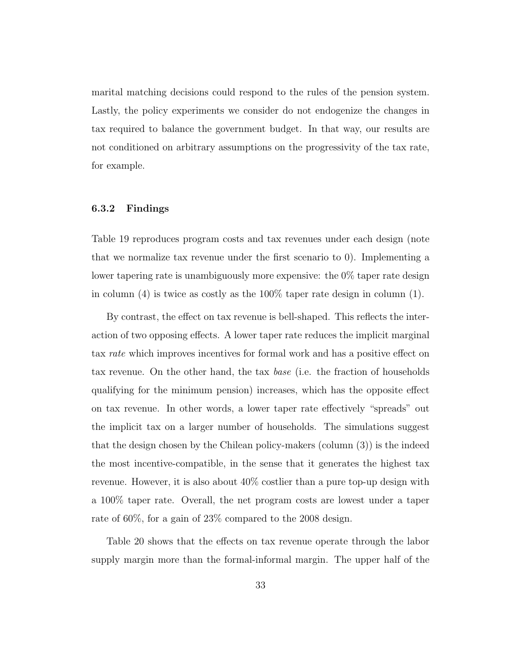marital matching decisions could respond to the rules of the pension system. Lastly, the policy experiments we consider do not endogenize the changes in tax required to balance the government budget. In that way, our results are not conditioned on arbitrary assumptions on the progressivity of the tax rate, for example.

#### 6.3.2 Findings

Table 19 reproduces program costs and tax revenues under each design (note that we normalize tax revenue under the first scenario to 0). Implementing a lower tapering rate is unambiguously more expensive: the 0% taper rate design in column (4) is twice as costly as the  $100\%$  taper rate design in column (1).

By contrast, the effect on tax revenue is bell-shaped. This reflects the interaction of two opposing effects. A lower taper rate reduces the implicit marginal tax rate which improves incentives for formal work and has a positive effect on tax revenue. On the other hand, the tax base (i.e. the fraction of households qualifying for the minimum pension) increases, which has the opposite effect on tax revenue. In other words, a lower taper rate effectively "spreads" out the implicit tax on a larger number of households. The simulations suggest that the design chosen by the Chilean policy-makers (column (3)) is the indeed the most incentive-compatible, in the sense that it generates the highest tax revenue. However, it is also about 40% costlier than a pure top-up design with a 100% taper rate. Overall, the net program costs are lowest under a taper rate of 60%, for a gain of 23% compared to the 2008 design.

Table 20 shows that the effects on tax revenue operate through the labor supply margin more than the formal-informal margin. The upper half of the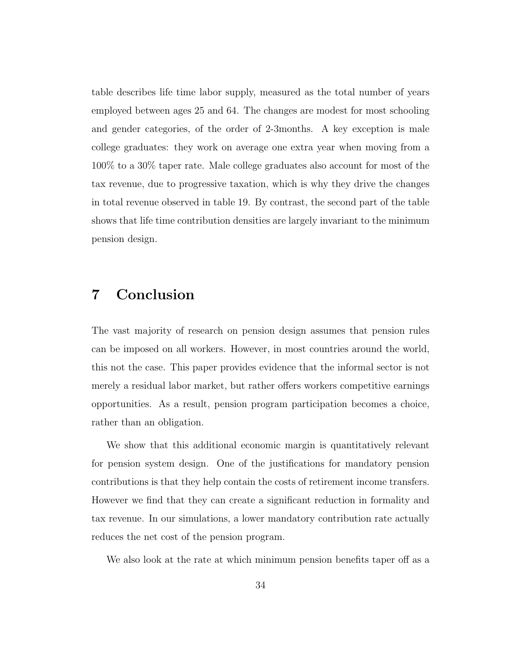table describes life time labor supply, measured as the total number of years employed between ages 25 and 64. The changes are modest for most schooling and gender categories, of the order of 2-3months. A key exception is male college graduates: they work on average one extra year when moving from a 100% to a 30% taper rate. Male college graduates also account for most of the tax revenue, due to progressive taxation, which is why they drive the changes in total revenue observed in table 19. By contrast, the second part of the table shows that life time contribution densities are largely invariant to the minimum pension design.

## 7 Conclusion

The vast majority of research on pension design assumes that pension rules can be imposed on all workers. However, in most countries around the world, this not the case. This paper provides evidence that the informal sector is not merely a residual labor market, but rather offers workers competitive earnings opportunities. As a result, pension program participation becomes a choice, rather than an obligation.

We show that this additional economic margin is quantitatively relevant for pension system design. One of the justifications for mandatory pension contributions is that they help contain the costs of retirement income transfers. However we find that they can create a significant reduction in formality and tax revenue. In our simulations, a lower mandatory contribution rate actually reduces the net cost of the pension program.

We also look at the rate at which minimum pension benefits taper off as a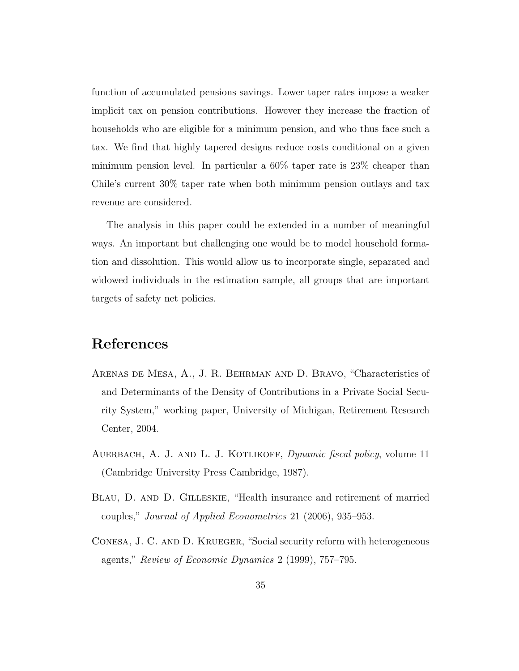function of accumulated pensions savings. Lower taper rates impose a weaker implicit tax on pension contributions. However they increase the fraction of households who are eligible for a minimum pension, and who thus face such a tax. We find that highly tapered designs reduce costs conditional on a given minimum pension level. In particular a 60% taper rate is 23% cheaper than Chile's current 30% taper rate when both minimum pension outlays and tax revenue are considered.

The analysis in this paper could be extended in a number of meaningful ways. An important but challenging one would be to model household formation and dissolution. This would allow us to incorporate single, separated and widowed individuals in the estimation sample, all groups that are important targets of safety net policies.

## References

- Arenas de Mesa, A., J. R. Behrman and D. Bravo, "Characteristics of and Determinants of the Density of Contributions in a Private Social Security System," working paper, University of Michigan, Retirement Research Center, 2004.
- AUERBACH, A. J. AND L. J. KOTLIKOFF, *Dynamic fiscal policy*, volume 11 (Cambridge University Press Cambridge, 1987).
- Blau, D. and D. Gilleskie, "Health insurance and retirement of married couples," Journal of Applied Econometrics 21 (2006), 935–953.
- Conesa, J. C. and D. Krueger, "Social security reform with heterogeneous agents," Review of Economic Dynamics 2 (1999), 757–795.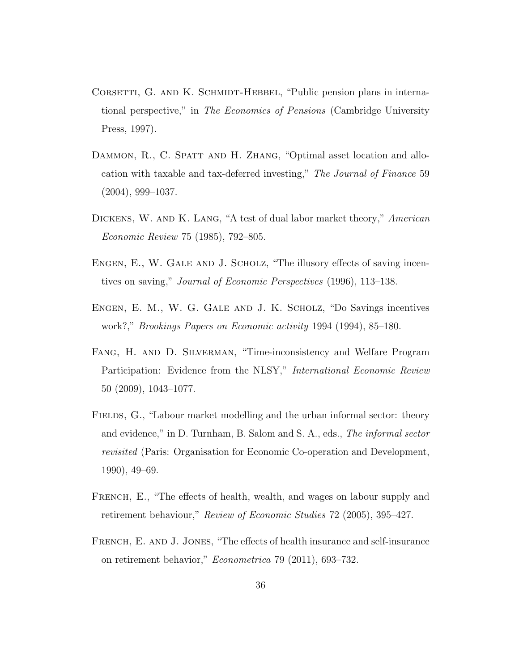- CORSETTI, G. AND K. SCHMIDT-HEBBEL, "Public pension plans in international perspective," in The Economics of Pensions (Cambridge University Press, 1997).
- DAMMON, R., C. SPATT AND H. ZHANG, "Optimal asset location and allocation with taxable and tax-deferred investing," The Journal of Finance 59 (2004), 999–1037.
- DICKENS, W. AND K. LANG, "A test of dual labor market theory," American Economic Review 75 (1985), 792–805.
- ENGEN, E., W. GALE AND J. SCHOLZ, "The illusory effects of saving incentives on saving," Journal of Economic Perspectives (1996), 113–138.
- Engen, E. M., W. G. Gale and J. K. Scholz, "Do Savings incentives work?," Brookings Papers on Economic activity 1994 (1994), 85–180.
- FANG, H. AND D. SILVERMAN, "Time-inconsistency and Welfare Program Participation: Evidence from the NLSY," *International Economic Review* 50 (2009), 1043–1077.
- FIELDS, G., "Labour market modelling and the urban informal sector: theory and evidence," in D. Turnham, B. Salom and S. A., eds., The informal sector revisited (Paris: Organisation for Economic Co-operation and Development, 1990), 49–69.
- FRENCH, E., "The effects of health, wealth, and wages on labour supply and retirement behaviour," Review of Economic Studies 72 (2005), 395–427.
- FRENCH, E. AND J. JONES, "The effects of health insurance and self-insurance on retirement behavior," Econometrica 79 (2011), 693–732.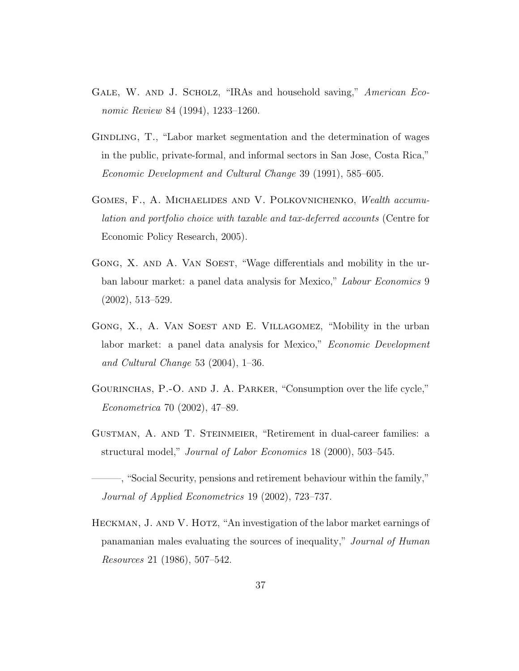- GALE, W. AND J. SCHOLZ, "IRAs and household saving," *American Eco*nomic Review 84 (1994), 1233–1260.
- GINDLING, T., "Labor market segmentation and the determination of wages in the public, private-formal, and informal sectors in San Jose, Costa Rica," Economic Development and Cultural Change 39 (1991), 585–605.
- GOMES, F., A. MICHAELIDES AND V. POLKOVNICHENKO, Wealth accumulation and portfolio choice with taxable and tax-deferred accounts (Centre for Economic Policy Research, 2005).
- GONG, X. AND A. VAN SOEST, "Wage differentials and mobility in the urban labour market: a panel data analysis for Mexico," Labour Economics 9 (2002), 513–529.
- GONG, X., A. VAN SOEST AND E. VILLAGOMEZ, "Mobility in the urban labor market: a panel data analysis for Mexico," Economic Development and Cultural Change 53 (2004), 1–36.
- Gourinchas, P.-O. and J. A. Parker, "Consumption over the life cycle," Econometrica 70 (2002), 47–89.
- Gustman, A. and T. Steinmeier, "Retirement in dual-career families: a structural model," Journal of Labor Economics 18 (2000), 503–545.

———, "Social Security, pensions and retirement behaviour within the family," Journal of Applied Econometrics 19 (2002), 723–737.

HECKMAN, J. AND V. HOTZ, "An investigation of the labor market earnings of panamanian males evaluating the sources of inequality," Journal of Human Resources 21 (1986), 507–542.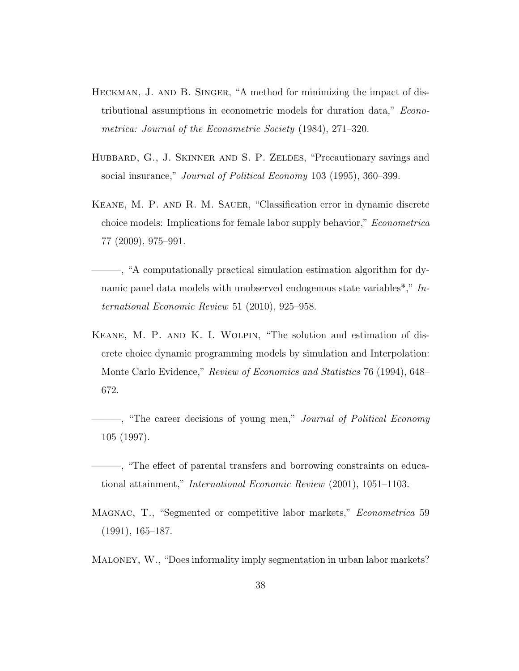- Heckman, J. and B. Singer, "A method for minimizing the impact of distributional assumptions in econometric models for duration data," Econometrica: Journal of the Econometric Society (1984), 271–320.
- HUBBARD, G., J. SKINNER AND S. P. ZELDES, "Precautionary savings and social insurance," Journal of Political Economy 103 (1995), 360–399.
- Keane, M. P. and R. M. Sauer, "Classification error in dynamic discrete choice models: Implications for female labor supply behavior," Econometrica 77 (2009), 975–991.
- ———, "A computationally practical simulation estimation algorithm for dynamic panel data models with unobserved endogenous state variables<sup>\*</sup>," International Economic Review 51 (2010), 925–958.
- Keane, M. P. and K. I. Wolpin, "The solution and estimation of discrete choice dynamic programming models by simulation and Interpolation: Monte Carlo Evidence," Review of Economics and Statistics 76 (1994), 648– 672.

—, "The career decisions of young men," Journal of Political Economy 105 (1997).

- ———, "The effect of parental transfers and borrowing constraints on educational attainment," International Economic Review (2001), 1051–1103.
- MAGNAC, T., "Segmented or competitive labor markets," Econometrica 59 (1991), 165–187.
- Maloney, W., "Does informality imply segmentation in urban labor markets?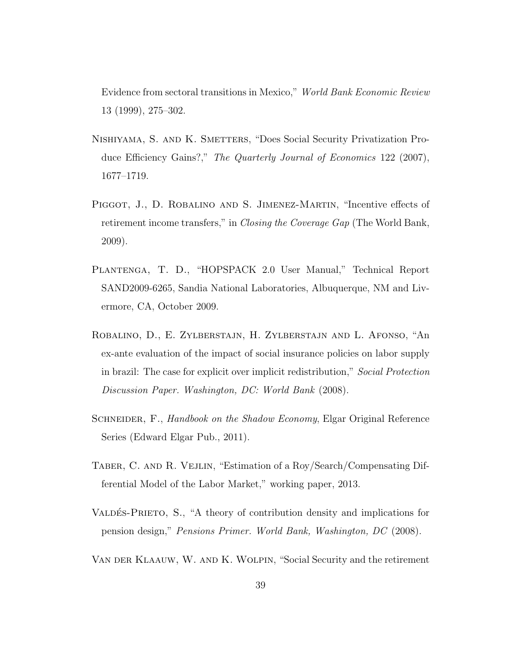Evidence from sectoral transitions in Mexico," World Bank Economic Review 13 (1999), 275–302.

- NISHIYAMA, S. AND K. SMETTERS, "Does Social Security Privatization Produce Efficiency Gains?," The Quarterly Journal of Economics 122 (2007), 1677–1719.
- PIGGOT, J., D. ROBALINO AND S. JIMENEZ-MARTIN, "Incentive effects of retirement income transfers," in Closing the Coverage Gap (The World Bank, 2009).
- Plantenga, T. D., "HOPSPACK 2.0 User Manual," Technical Report SAND2009-6265, Sandia National Laboratories, Albuquerque, NM and Livermore, CA, October 2009.
- Robalino, D., E. Zylberstajn, H. Zylberstajn and L. Afonso, "An ex-ante evaluation of the impact of social insurance policies on labor supply in brazil: The case for explicit over implicit redistribution," Social Protection Discussion Paper. Washington, DC: World Bank (2008).
- SCHNEIDER, F., Handbook on the Shadow Economy, Elgar Original Reference Series (Edward Elgar Pub., 2011).
- Taber, C. and R. Vejlin, "Estimation of a Roy/Search/Compensating Differential Model of the Labor Market," working paper, 2013.
- VALDÉS-PRIETO, S., "A theory of contribution density and implications for pension design," Pensions Primer. World Bank, Washington, DC (2008).
- Van der Klaauw, W. and K. Wolpin, "Social Security and the retirement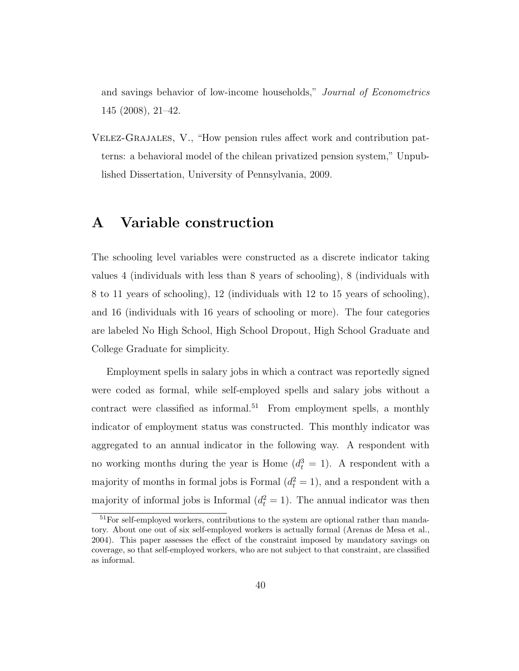and savings behavior of low-income households," Journal of Econometrics 145 (2008), 21–42.

Velez-Grajales, V., "How pension rules affect work and contribution patterns: a behavioral model of the chilean privatized pension system," Unpublished Dissertation, University of Pennsylvania, 2009.

### A Variable construction

The schooling level variables were constructed as a discrete indicator taking values 4 (individuals with less than 8 years of schooling), 8 (individuals with 8 to 11 years of schooling), 12 (individuals with 12 to 15 years of schooling), and 16 (individuals with 16 years of schooling or more). The four categories are labeled No High School, High School Dropout, High School Graduate and College Graduate for simplicity.

Employment spells in salary jobs in which a contract was reportedly signed were coded as formal, while self-employed spells and salary jobs without a contract were classified as informal.<sup>51</sup> From employment spells, a monthly indicator of employment status was constructed. This monthly indicator was aggregated to an annual indicator in the following way. A respondent with no working months during the year is Home  $(d_t^3 = 1)$ . A respondent with a majority of months in formal jobs is Formal  $(d_t^2 = 1)$ , and a respondent with a majority of informal jobs is Informal  $(d_t^2 = 1)$ . The annual indicator was then

<sup>&</sup>lt;sup>51</sup>For self-employed workers, contributions to the system are optional rather than mandatory. About one out of six self-employed workers is actually formal (Arenas de Mesa et al., 2004). This paper assesses the effect of the constraint imposed by mandatory savings on coverage, so that self-employed workers, who are not subject to that constraint, are classified as informal.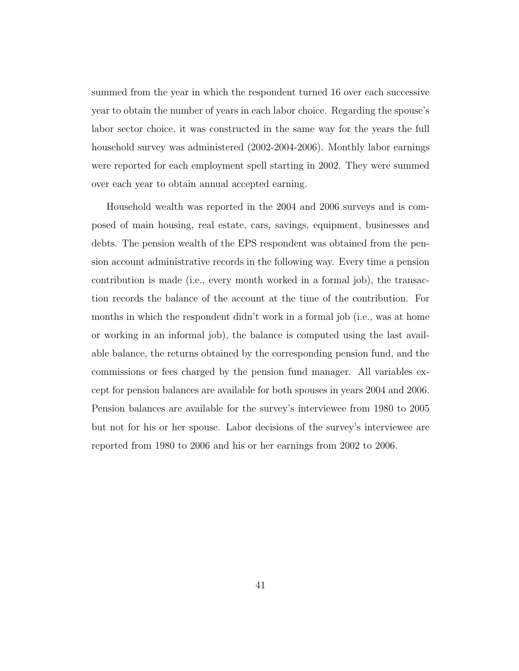summed from the year in which the respondent turned 16 over each successive year to obtain the number of years in each labor choice. Regarding the spouse's labor sector choice, it was constructed in the same way for the years the full household survey was administered (2002-2004-2006). Monthly labor earnings were reported for each employment spell starting in 2002. They were summed over each year to obtain annual accepted earning.

Household wealth was reported in the 2004 and 2006 surveys and is composed of main housing, real estate, cars, savings, equipment, businesses and debts. The pension wealth of the EPS respondent was obtained from the pension account administrative records in the following way. Every time a pension contribution is made (i.e., every month worked in a formal job), the transaction records the balance of the account at the time of the contribution. For months in which the respondent didn't work in a formal job (i.e., was at home or working in an informal job), the balance is computed using the last available balance, the returns obtained by the corresponding pension fund, and the commissions or fees charged by the pension fund manager. All variables except for pension balances are available for both spouses in years 2004 and 2006. Pension balances are available for the survey's interviewee from 1980 to 2005 but not for his or her spouse. Labor decisions of the survey's interviewee are reported from 1980 to 2006 and his or her earnings from 2002 to 2006.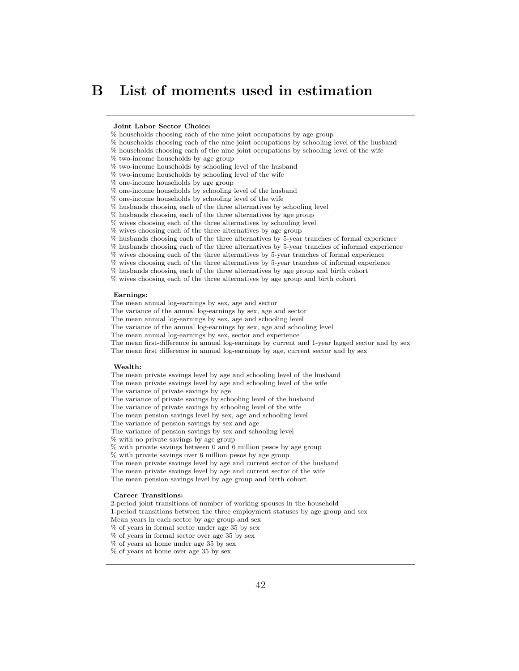## B List of moments used in estimation

#### Joint Labor Sector Choice:

- % households choosing each of the nine joint occupations by age group
- % households choosing each of the nine joint occupations by schooling level of the husband
- % households choosing each of the nine joint occupations by schooling level of the wife
- % two-income households by age group
- % two-income households by schooling level of the husband
- % two-income households by schooling level of the wife
- % one-income households by age group
- % one-income households by schooling level of the husband
- % one-income households by schooling level of the wife
- % husbands choosing each of the three alternatives by schooling level
- % husbands choosing each of the three alternatives by age group
- % wives choosing each of the three alternatives by schooling level
- % wives choosing each of the three alternatives by age group
- % husbands choosing each of the three alternatives by 5-year tranches of formal experience
- % husbands choosing each of the three alternatives by 5-year tranches of informal experience
- % wives choosing each of the three alternatives by 5-year tranches of formal experience
- % wives choosing each of the three alternatives by 5-year tranches of informal experience
- % husbands choosing each of the three alternatives by age group and birth cohort
- % wives choosing each of the three alternatives by age group and birth cohort

#### Earnings:

The mean annual log-earnings by sex, age and sector

- The variance of the annual log-earnings by sex, age and sector
- The mean annual log-earnings by sex, age and schooling level
- The variance of the annual log-earnings by sex, age and schooling level
- The mean annual log-earnings by sex, sector and experience
- The mean first-difference in annual log-earnings by current and 1-year lagged sector and by sex
- The mean first difference in annual log-earnings by age, current sector and by sex

#### Wealth:

- The mean private savings level by age and schooling level of the husband
- The mean private savings level by age and schooling level of the wife
- The variance of private savings by age
- The variance of private savings by schooling level of the husband
- The variance of private savings by schooling level of the wife
- The mean pension savings level by sex, age and schooling level
- The variance of pension savings by sex and age
- The variance of pension savings by sex and schooling level
- % with no private savings by age group
- % with private savings between 0 and 6 million pesos by age group
- % with private savings over 6 million pesos by age group
- The mean private savings level by age and current sector of the husband
- The mean private savings level by age and current sector of the wife
- The mean pension savings level by age group and birth cohort

#### Career Transitions:

2-period joint transitions of number of working spouses in the household

- 1-period transitions between the three employment statuses by age group and sex
- Mean years in each sector by age group and sex
- % of years in formal sector under age 35 by sex
- % of years in formal sector over age 35 by sex
- % of years at home under age 35 by sex
- % of years at home over age 35 by sex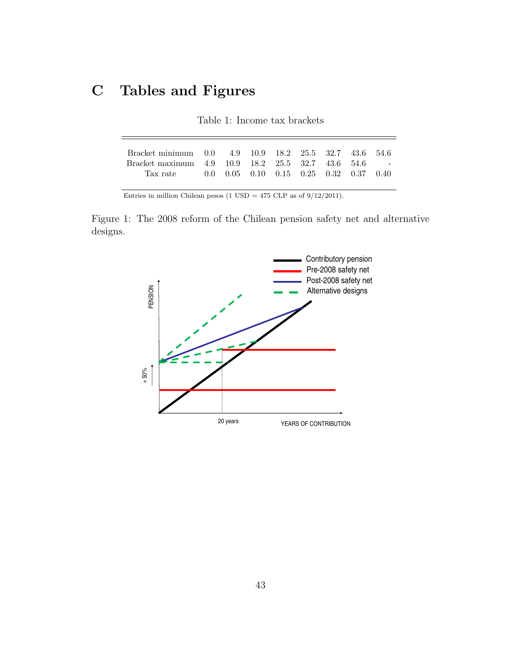## C Tables and Figures

 $\overline{a}$ 

| Bracket minimum 0.0 4.9 10.9 18.2 25.5 32.7 43.6 54.6                                |  |  |  |  |
|--------------------------------------------------------------------------------------|--|--|--|--|
| Bracket maximum 4.9 10.9 18.2 25.5 32.7 43.6 54.6                                    |  |  |  |  |
| Tax rate $0.0\quad 0.05\quad 0.10\quad 0.15\quad 0.25\quad 0.32\quad 0.37\quad 0.40$ |  |  |  |  |
|                                                                                      |  |  |  |  |

Table 1: Income tax brackets

Entries in million Chilean pesos (1 USD = 475 CLP as of  $9/12/2011$ ).

Figure 1: The 2008 reform of the Chilean pension safety net and alternative designs.

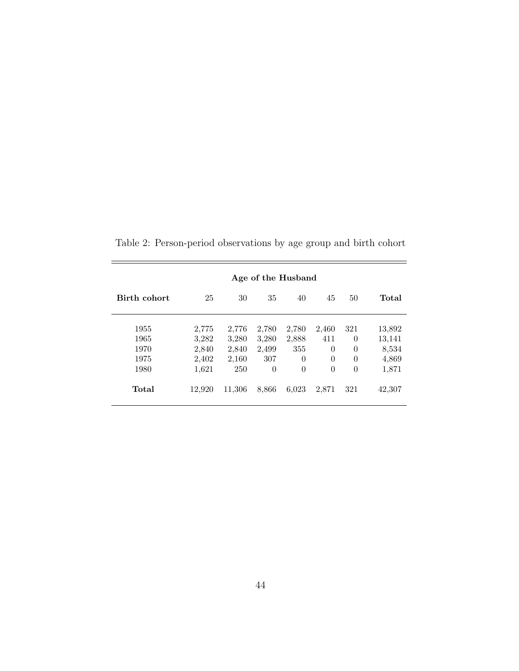| Age of the Husband |        |          |          |          |          |        |  |  |  |
|--------------------|--------|----------|----------|----------|----------|--------|--|--|--|
| 25                 | 30     | 35       | 40       | 45       | 50       | Total  |  |  |  |
| 2,775              | 2,776  | 2,780    | 2,780    | 2,460    | 321      | 13,892 |  |  |  |
| 3,282              | 3,280  | 3.280    | 2,888    | 411      | $\theta$ | 13,141 |  |  |  |
| 2,840              | 2,840  | 2,499    | 355      | $\theta$ | $\theta$ | 8,534  |  |  |  |
| 2,402              | 2,160  | 307      | $\theta$ | $\theta$ | $\theta$ | 4,869  |  |  |  |
| 1,621              | 250    | $\theta$ | $\theta$ | $\theta$ | $\theta$ | 1,871  |  |  |  |
| 12,920             | 11,306 | 8,866    | 6,023    | 2,871    | 321      | 42,307 |  |  |  |
|                    |        |          |          |          |          |        |  |  |  |

Table 2: Person-period observations by age group and birth cohort

 $\frac{1}{2}$ 

 $=$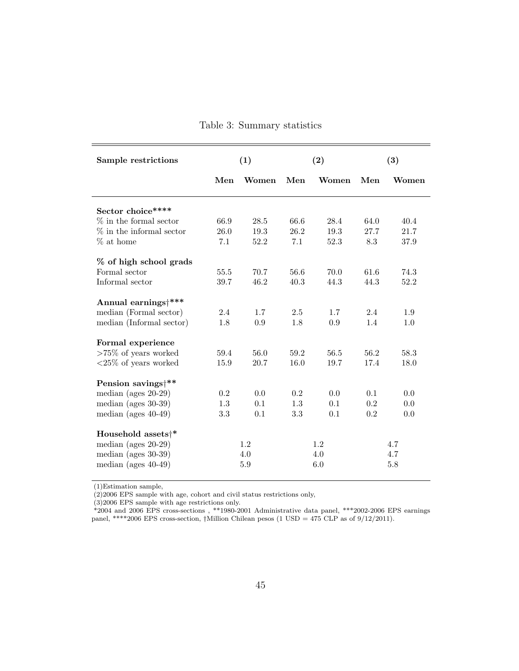| Sample restrictions             |         | (1)   |      | (2)   | (3)  |       |
|---------------------------------|---------|-------|------|-------|------|-------|
|                                 | Men     | Women | Men  | Women | Men  | Women |
| Sector choice****               |         |       |      |       |      |       |
| $%$ in the formal sector        | 66.9    | 28.5  | 66.6 | 28.4  | 64.0 | 40.4  |
| $\%$ in the informal sector     | 26.0    | 19.3  | 26.2 | 19.3  | 27.7 | 21.7  |
| $%$ at home                     | 7.1     | 52.2  | 7.1  | 52.3  | 8.3  | 37.9  |
| % of high school grads          |         |       |      |       |      |       |
| Formal sector                   | 55.5    | 70.7  | 56.6 | 70.0  | 61.6 | 74.3  |
| Informal sector                 | 39.7    | 46.2  | 40.3 | 44.3  | 44.3 | 52.2  |
| Annual earnings <sup>****</sup> |         |       |      |       |      |       |
| median (Formal sector)          | 2.4     | 1.7   | 2.5  | 1.7   | 2.4  | 1.9   |
| median (Informal sector)        | 1.8     | 0.9   | 1.8  | 0.9   | 1.4  | 1.0   |
| Formal experience               |         |       |      |       |      |       |
| $>75\%$ of years worked         | 59.4    | 56.0  | 59.2 | 56.5  | 56.2 | 58.3  |
| $<25\%$ of years worked         | 15.9    | 20.7  | 16.0 | 19.7  | 17.4 | 18.0  |
| Pension savings <sup>+**</sup>  |         |       |      |       |      |       |
| median (ages 20-29)             | 0.2     | 0.0   | 0.2  | 0.0   | 0.1  | 0.0   |
| median (ages $30-39$ )          | 1.3     | 0.1   | 1.3  | 0.1   | 0.2  | 0.0   |
| median (ages $40-49$ )          | $3.3\,$ | 0.1   | 3.3  | 0.1   | 0.2  | 0.0   |
| Household assets <sup>†*</sup>  |         |       |      |       |      |       |
| median (ages $20-29$ )          |         | 1.2   |      | 1.2   |      | 4.7   |
| median (ages $30-39$ )          |         | 4.0   |      | 4.0   |      | 4.7   |
| median (ages $40-49$ )          |         | 5.9   |      | 6.0   |      | 5.8   |

### Table 3: Summary statistics

(1)Estimation sample,

 $(2)2006$  EPS sample with age, cohort and civil status restrictions only,

 $(3)2006$  EPS sample with age restrictions only.

\*2004 and 2006 EPS cross-sections , \*\*1980-2001 Administrative data panel, \*\*\*2002-2006 EPS earnings panel, \*\*\*\*2006 EPS cross-section, †Million Chilean pesos (1 USD = 475 CLP as of 9/12/2011).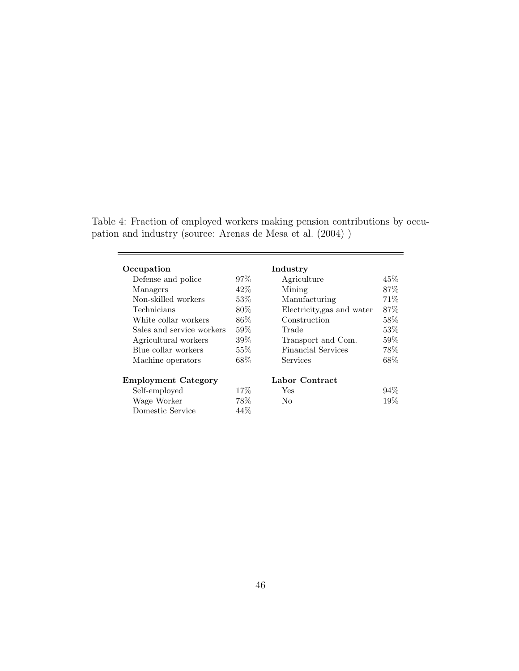Table 4: Fraction of employed workers making pension contributions by occupation and industry (source: Arenas de Mesa et al. (2004) )

| Occupation                 |        | Industry                   |      |
|----------------------------|--------|----------------------------|------|
| Defense and police         | $97\%$ | Agriculture                | 45%  |
| Managers                   | 42\%   | Mining                     | 87\% |
| Non-skilled workers        | 53%    | Manufacturing              | 71%  |
| Technicians                | $80\%$ | Electricity, gas and water | 87%  |
| White collar workers       | 86\%   | Construction               | 58%  |
| Sales and service workers  | 59%    | Trade                      | 53%  |
| Agricultural workers       | $39\%$ | Transport and Com.         | 59%  |
| Blue collar workers        | 55%    | <b>Financial Services</b>  | 78%  |
| Machine operators          | 68\%   | <b>Services</b>            | 68\% |
| <b>Employment Category</b> |        | Labor Contract             |      |
| Self-employed              | 17\%   | Yes                        | 94%  |
| Wage Worker                | 78%    | $\rm No$                   | 19%  |
| Domestic Service           | 44\%   |                            |      |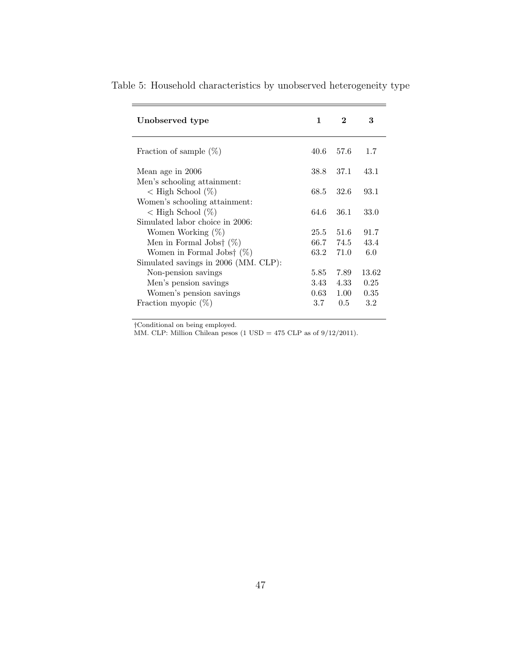| Unobserved type                      | 1    | 2             | 3     |
|--------------------------------------|------|---------------|-------|
| Fraction of sample $(\%)$            | 40.6 | 57.6          | 1.7   |
| Mean age in 2006                     | 38.8 | 37.1          | 43.1  |
| Men's schooling attainment:          |      |               |       |
| $\langle$ High School $(\%)$         | 68.5 | 32.6          | 93.1  |
| Women's schooling attainment:        |      |               |       |
| $\langle$ High School $(\%)$         | 64.6 | 36.1          | 33.0  |
| Simulated labor choice in 2006:      |      |               |       |
| Women Working $(\%)$                 | 25.5 | 51.6          | 91.7  |
| Men in Formal Jobs $\dagger$ (%)     | 66.7 | 74.5          | 43.4  |
| Women in Formal Jobst $(\%)$         | 63.2 | 71.0          | 6.0   |
| Simulated savings in 2006 (MM. CLP): |      |               |       |
| Non-pension savings                  | 5.85 | 7.89          | 13.62 |
| Men's pension savings                | 3.43 | 4.33          | 0.25  |
| Women's pension savings              | 0.63 | 1.00          | 0.35  |
| Fraction myopic $(\%)$               | 3.7  | $0.5^{\circ}$ | 3.2   |

Table 5: Household characteristics by unobserved heterogeneity type

†Conditional on being employed.

MM. CLP: Million Chilean pesos (1 USD =  $475$  CLP as of  $9/12/2011$ ).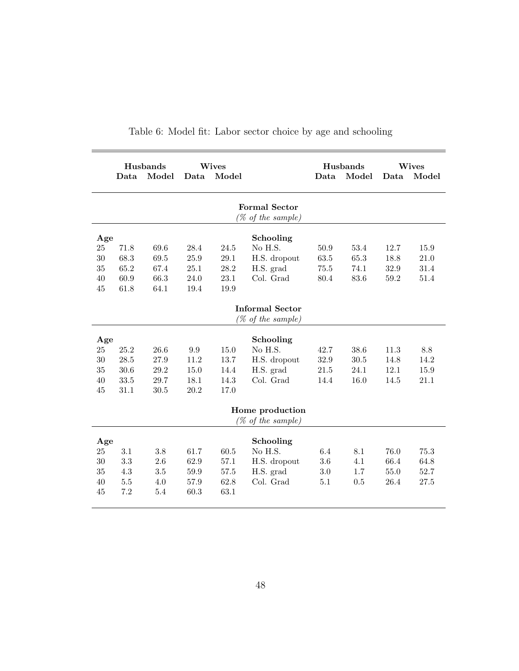|     |      | Husbands |         | <b>Wives</b> |                            |         | Husbands |      | <b>Wives</b> |
|-----|------|----------|---------|--------------|----------------------------|---------|----------|------|--------------|
|     | Data | Model    | Data    | Model        |                            | Data    | Model    | Data | Model        |
|     |      |          |         |              | <b>Formal Sector</b>       |         |          |      |              |
|     |      |          |         |              | $(\% \ of \ the \ sample)$ |         |          |      |              |
| Age |      |          |         |              | Schooling                  |         |          |      |              |
| 25  | 71.8 | 69.6     | 28.4    | 24.5         | No H.S.                    | 50.9    | 53.4     | 12.7 | 15.9         |
| 30  | 68.3 | 69.5     | 25.9    | 29.1         | H.S. dropout               | 63.5    | 65.3     | 18.8 | 21.0         |
| 35  | 65.2 | 67.4     | 25.1    | 28.2         | H.S. grad                  | 75.5    | 74.1     | 32.9 | 31.4         |
| 40  | 60.9 | 66.3     | 24.0    | 23.1         | Col. Grad                  | 80.4    | 83.6     | 59.2 | 51.4         |
| 45  | 61.8 | 64.1     | 19.4    | 19.9         |                            |         |          |      |              |
|     |      |          |         |              | <b>Informal Sector</b>     |         |          |      |              |
|     |      |          |         |              | $(\% \ of \ the \ sample)$ |         |          |      |              |
| Age |      |          |         |              | Schooling                  |         |          |      |              |
| 25  | 25.2 | 26.6     | $9.9\,$ | 15.0         | No H.S.                    | 42.7    | 38.6     | 11.3 | 8.8          |
| 30  | 28.5 | 27.9     | 11.2    | 13.7         | H.S. dropout               | 32.9    | $30.5\,$ | 14.8 | 14.2         |
| 35  | 30.6 | 29.2     | 15.0    | 14.4         | H.S. grad                  | 21.5    | 24.1     | 12.1 | 15.9         |
| 40  | 33.5 | 29.7     | 18.1    | 14.3         | Col. Grad                  | 14.4    | 16.0     | 14.5 | 21.1         |
| 45  | 31.1 | 30.5     | 20.2    | 17.0         |                            |         |          |      |              |
|     |      |          |         |              | Home production            |         |          |      |              |
|     |      |          |         |              | $(\% \ of \ the \ sample)$ |         |          |      |              |
| Age |      |          |         |              | Schooling                  |         |          |      |              |
| 25  | 3.1  | 3.8      | 61.7    | 60.5         | No H.S.                    | 6.4     | 8.1      | 76.0 | 75.3         |
| 30  | 3.3  | 2.6      | 62.9    | 57.1         | H.S. dropout               | $3.6\,$ | 4.1      | 66.4 | 64.8         |
| 35  | 4.3  | 3.5      | 59.9    | 57.5         | H.S. grad                  | $3.0\,$ | 1.7      | 55.0 | 52.7         |
| 40  | 5.5  | 4.0      | 57.9    | 62.8         | Col. Grad                  | 5.1     | 0.5      | 26.4 | 27.5         |
| 45  | 7.2  | 5.4      | 60.3    | 63.1         |                            |         |          |      |              |

Table 6: Model fit: Labor sector choice by age and schooling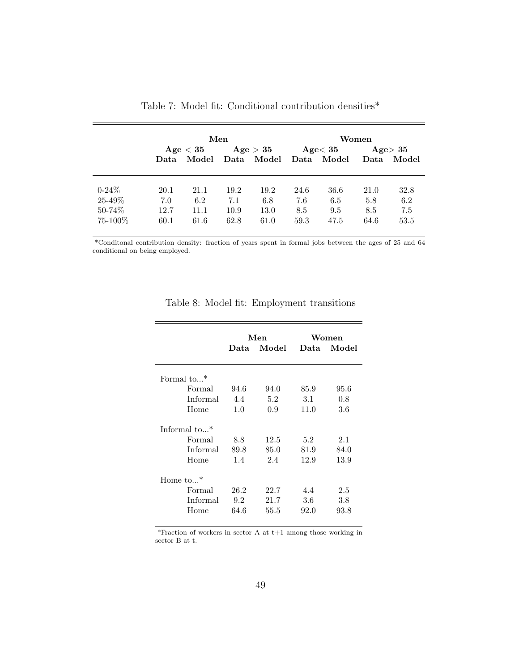|             | Men  |            |      |          |      |            | Women     |       |
|-------------|------|------------|------|----------|------|------------|-----------|-------|
|             |      | Age $< 35$ |      | Age > 35 |      | Age $< 35$ | Age $>35$ |       |
|             | Data | Model      | Data | Model    | Data | Model      | Data      | Model |
| $0 - 24\%$  | 20.1 | 21.1       | 19.2 | 19.2     | 24.6 | 36.6       | 21.0      | 32.8  |
| $25 - 49\%$ | 7.0  | 6.2        | 7.1  | 6.8      | 7.6  | 6.5        | 5.8       | 6.2   |
| $50 - 74\%$ | 12.7 | 11.1       | 10.9 | 13.0     | 8.5  | 9.5        | 8.5       | 7.5   |
| 75-100%     | 60.1 | 61.6       | 62.8 | 61.0     | 59.3 | 47.5       | 64.6      | 53.5  |

Table 7: Model fit: Conditional contribution densities\*

\*Conditonal contribution density: fraction of years spent in formal jobs between the ages of 25 and 64 conditional on being employed.

|                                   |      | Men   |      | Women      |  |
|-----------------------------------|------|-------|------|------------|--|
|                                   | Data | Model |      | Data Model |  |
|                                   |      |       |      |            |  |
| Formal $\mathrm{to}$ <sup>*</sup> |      |       |      |            |  |
| Formal                            | 94.6 | 94.0  | 85.9 | 95.6       |  |
| Informal                          | 4.4  | 5.2   | 3.1  | 0.8        |  |
| Home                              | 1.0  | 0.9   | 11.0 | 3.6        |  |
| Informal to $*$                   |      |       |      |            |  |
| Formal                            | 8.8  | 12.5  | 5.2  | 2.1        |  |
| Informal                          | 89.8 | 85.0  | 81.9 | 84.0       |  |
| Home                              | 1.4  | 2.4   | 12.9 | 13.9       |  |
| Home $\text{to}$ <sup>*</sup>     |      |       |      |            |  |
| <b>Formal</b>                     | 26.2 | 22.7  | 4.4  | 2.5        |  |
| Informal                          | 9.2  | 21.7  | 3.6  | 3.8        |  |
| Home                              | 64.6 | 55.5  | 92.0 | 93.8       |  |

### Table 8: Model fit: Employment transitions

\*Fraction of workers in sector A at t+1 among those working in sector B at t.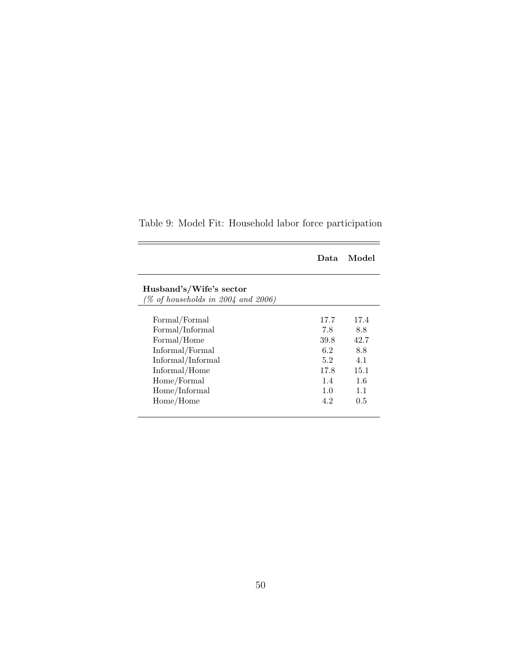|                                                                  | Data | Model |
|------------------------------------------------------------------|------|-------|
| Husband's/Wife's sector<br>$(\%$ of households in 2004 and 2006) |      |       |
| Formal/Formal                                                    | 17.7 | 17.4  |
| Formal/Informal                                                  | 7.8  | 8.8   |
| Formal/Home                                                      | 39.8 | 42.7  |
| Informal/Formal                                                  | 6.2  | 8.8   |
| Informal/Informal                                                | 5.2  | 4.1   |
| Informal/Home                                                    | 17.8 | 15.1  |
| Home/Formal                                                      | 1.4  | 1.6   |
| Home/Informal                                                    | 1.0  | 1.1   |
| Home/Home                                                        | 4.2  | 0.5   |

Table 9: Model Fit: Household labor force participation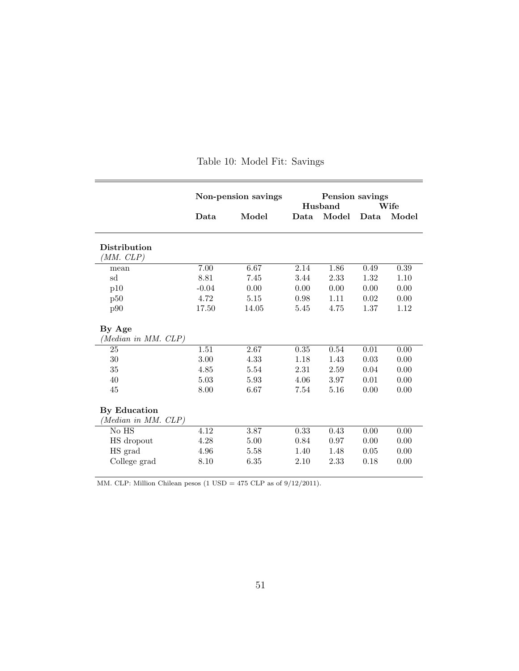|                               |         | Non-pension savings | Pension savings |         |      |       |  |
|-------------------------------|---------|---------------------|-----------------|---------|------|-------|--|
|                               |         |                     |                 | Husband |      | Wife  |  |
|                               | Data    | Model               | Data            | Model   | Data | Model |  |
| Distribution<br>'MM. CLP)     |         |                     |                 |         |      |       |  |
| mean                          | 7.00    | 6.67                | 2.14            | 1.86    | 0.49 | 0.39  |  |
| sd                            | 8.81    | 7.45                | 3.44            | 2.33    | 1.32 | 1.10  |  |
| p10                           | $-0.04$ | 0.00                | 0.00            | 0.00    | 0.00 | 0.00  |  |
| p50                           | 4.72    | 5.15                | 0.98            | 1.11    | 0.02 | 0.00  |  |
| p90                           | 17.50   | 14.05               | 5.45            | 4.75    | 1.37 | 1.12  |  |
| By Age<br>(Median in MM. CLP) |         |                     |                 |         |      |       |  |
| 25                            | 1.51    | 2.67                | 0.35            | 0.54    | 0.01 | 0.00  |  |
| 30                            | 3.00    | 4.33                | 1.18            | 1.43    | 0.03 | 0.00  |  |
| 35                            | 4.85    | 5.54                | 2.31            | 2.59    | 0.04 | 0.00  |  |
| 40                            | 5.03    | 5.93                | 4.06            | 3.97    | 0.01 | 0.00  |  |
| 45                            | 8.00    | 6.67                | 7.54            | 5.16    | 0.00 | 0.00  |  |
| By Education                  |         |                     |                 |         |      |       |  |
| (Median in MM. CLP)           |         |                     |                 |         |      |       |  |
| No HS                         | 4.12    | 3.87                | 0.33            | 0.43    | 0.00 | 0.00  |  |
| HS dropout                    | 4.28    | 5.00                | 0.84            | 0.97    | 0.00 | 0.00  |  |
| HS grad                       | 4.96    | 5.58                | 1.40            | 1.48    | 0.05 | 0.00  |  |
| College grad                  | 8.10    | 6.35                | 2.10            | 2.33    | 0.18 | 0.00  |  |

## Table 10: Model Fit: Savings

 $=$ 

MM. CLP: Million Chilean pesos (1 USD = 475 CLP as of  $9/12/2011$ ).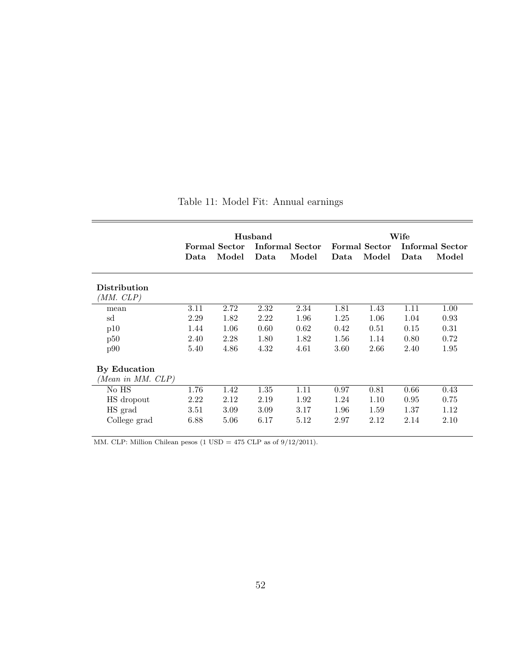|  |  | Table 11: Model Fit: Annual earnings |
|--|--|--------------------------------------|
|  |  |                                      |
|  |  |                                      |

|                      | Husband |                      |      |                        | Wife |                      |      |                 |  |
|----------------------|---------|----------------------|------|------------------------|------|----------------------|------|-----------------|--|
|                      |         | <b>Formal Sector</b> |      | <b>Informal Sector</b> |      | <b>Formal Sector</b> |      | Informal Sector |  |
|                      | Data    | Model                | Data | Model                  | Data | Model                | Data | Model           |  |
|                      |         |                      |      |                        |      |                      |      |                 |  |
| Distribution         |         |                      |      |                        |      |                      |      |                 |  |
| 'MM. CLP)            |         |                      |      |                        |      |                      |      |                 |  |
| mean                 | 3.11    | 2.72                 | 2.32 | 2.34                   | 1.81 | 1.43                 | 1.11 | 1.00            |  |
| sd                   | 2.29    | 1.82                 | 2.22 | 1.96                   | 1.25 | 1.06                 | 1.04 | 0.93            |  |
| p10                  | 1.44    | 1.06                 | 0.60 | 0.62                   | 0.42 | 0.51                 | 0.15 | 0.31            |  |
| p50                  | 2.40    | 2.28                 | 1.80 | 1.82                   | 1.56 | 1.14                 | 0.80 | 0.72            |  |
| p90                  | 5.40    | 4.86                 | 4.32 | 4.61                   | 3.60 | 2.66                 | 2.40 | 1.95            |  |
| By Education         |         |                      |      |                        |      |                      |      |                 |  |
| (Mean in MM. $CLP$ ) |         |                      |      |                        |      |                      |      |                 |  |
| No HS                | 1.76    | 1.42                 | 1.35 | 1.11                   | 0.97 | 0.81                 | 0.66 | 0.43            |  |
| HS dropout           | 2.22    | 2.12                 | 2.19 | 1.92                   | 1.24 | 1.10                 | 0.95 | 0.75            |  |
| HS grad              | 3.51    | 3.09                 | 3.09 | 3.17                   | 1.96 | 1.59                 | 1.37 | 1.12            |  |
| College grad         | 6.88    | 5.06                 | 6.17 | 5.12                   | 2.97 | 2.12                 | 2.14 | 2.10            |  |

MM. CLP: Million Chilean pesos (1 USD = 475 CLP as of  $9/12/2011$ ).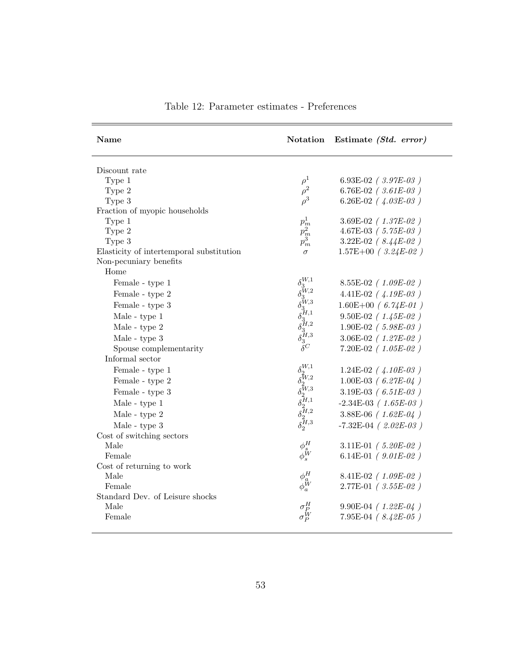| Table 12: Parameter estimates - Preferences |  |  |
|---------------------------------------------|--|--|
|---------------------------------------------|--|--|

| Name                                     | Notation                                                                                             | Estimate (Std. error)     |
|------------------------------------------|------------------------------------------------------------------------------------------------------|---------------------------|
| Discount rate                            |                                                                                                      |                           |
| Type 1                                   | $\rho^1$                                                                                             | 6.93E-02 $(3.97E-03)$     |
| Type 2                                   | $\rho^2$                                                                                             | 6.76E-02 $(3.61E-03)$     |
| Type 3                                   | $\rho^3$                                                                                             | 6.26E-02 $(4.03E-03)$     |
| Fraction of myopic households            |                                                                                                      |                           |
| Type 1                                   | $p_m^1$                                                                                              | 3.69E-02 $(1.37E-02)$     |
| Type 2                                   | $\frac{p_m^2}{p_m^3}$                                                                                | $4.67E-03$ (5.75E-03)     |
| Type 3                                   |                                                                                                      | 3.22E-02 $(8.44E-02)$     |
| Elasticity of intertemporal substitution | $\sigma$                                                                                             | $1.57E+00$ (3.24E-02)     |
| Non-pecuniary benefits                   |                                                                                                      |                           |
| Home                                     |                                                                                                      |                           |
| Female - type 1                          | $\delta_3^{W,1}$                                                                                     | 8.55E-02 $(1.09E-02)$     |
| Female - type 2                          | $W_{1,2}$                                                                                            | 4.41E-02 $(4.19E-03)$     |
| Female - type 3                          |                                                                                                      | $1.60E+00$ (6.74E-01)     |
| Male - type 1                            |                                                                                                      | $9.50E-02$ (1.45E-02)     |
| Male - type 2                            |                                                                                                      | $1.90E-02$ (5.98E-03)     |
| Male - type 3                            | $\delta^{W,3}_{3\delta^{H,1}_{3\delta^{H,2}_{3\delta^{H,3}_{3\delta^{H,3}_{3\delta^{C}}$             | $3.06E-02$ (1.27E-02)     |
| Spouse complementarity                   |                                                                                                      | $7.20E-02$ (1.05E-02)     |
| Informal sector                          |                                                                                                      |                           |
| Female - type 1                          | $\delta^{W,1}_2$                                                                                     | 1.24E-02 $(4.10E-03)$     |
| Female - type 2                          |                                                                                                      | 1.00E-03 $(6.27E-04)$     |
| Female - type 3                          |                                                                                                      | 3.19E-03 $(6.51E-03)$     |
| Male - type 1                            | $\delta_{2}^{\bar{W},2} \ \delta_{2}^{H,3} \ \delta_{2}^{H,1} \ \delta_{2}^{H,2} \ \delta_{3}^{H,3}$ | $-2.34E-03$ (1.65E-03)    |
| Male - type 2                            |                                                                                                      | 3.88E-06 $(1.62E-04)$     |
| Male - type 3                            |                                                                                                      | $-7.32E-04$ (2.02E-03)    |
| Cost of switching sectors                |                                                                                                      |                           |
| Male                                     | $\phi_s^H \\ \phi_s^W$                                                                               | 3.11E-01 $(5.20E-02)$     |
| Female                                   |                                                                                                      | 6.14E-01 $(9.01E-02)$     |
| Cost of returning to work                |                                                                                                      |                           |
| Male                                     | $\phi^H_a \\ \phi^W_a$                                                                               | 8.41E-02 $(1.09E-02)$     |
| Female                                   |                                                                                                      | $2.77E-01$ ( $3.55E-02$ ) |
| Standard Dev. of Leisure shocks          |                                                                                                      |                           |
| Male                                     | $\sigma_P^H \ \sigma_P^W$                                                                            | 9.90E-04 $(1.22E-04)$     |
| Female                                   |                                                                                                      | 7.95E-04 $(8.42E-05)$     |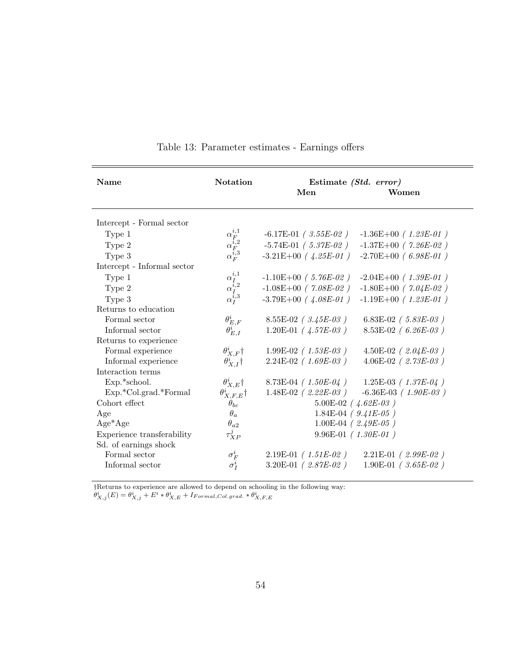| <b>Name</b>                 | <b>Notation</b>                                                                   | Estimate (Std. error)                            |
|-----------------------------|-----------------------------------------------------------------------------------|--------------------------------------------------|
|                             |                                                                                   | Men<br>Women                                     |
|                             |                                                                                   |                                                  |
| Intercept - Formal sector   |                                                                                   |                                                  |
| Type 1                      | $\begin{array}{c} \alpha_F^{i,1} \\ \alpha_F^{i,2} \\ \alpha_F^{i,3} \end{array}$ | $-6.17E-01$ (3.55E-02) $-1.36E+00$ (1.23E-01)    |
| Type 2                      |                                                                                   | $-5.74E-01$ (5.37E-02) $-1.37E+00$ (7.26E-02)    |
| Type 3                      |                                                                                   | $-3.21E+00$ (4.25E-01) $-2.70E+00$ (6.98E-01)    |
| Intercept - Informal sector |                                                                                   |                                                  |
| Type 1                      | $\overset{\alpha^{i,1}_I}{\overset{\alpha^{i,2}_I}{\alpha^{i,3}_I}}$              | $-1.10E+00$ (5.76E-02) $-2.04E+00$ (1.39E-01)    |
| Type 2                      |                                                                                   | $-1.08E+00$ (7.08E-02) $-1.80E+00$ (7.04E-02)    |
| Type 3                      |                                                                                   | $-3.79E+00$ (4.08E-01) $-1.19E+00$ (1.23E-01)    |
| Returns to education        |                                                                                   |                                                  |
| Formal sector               | $\theta^i_{E,F}$                                                                  | 8.55E-02 ( $3.45E-03$ ) 6.83E-02 ( $5.83E-03$ )  |
| Informal sector             | $\theta_{E,I}^i$                                                                  | 1.20E-01 ( $4.57E-03$ )<br>8.53E-02 $(6.26E-03)$ |
| Returns to experience       |                                                                                   |                                                  |
| Formal experience           | $\theta_{X,F}^i$ †                                                                | $1.99E-02$ (1.53E-03)<br>$4.50E-02$ (2.04E-03)   |
| Informal experience         | $\theta_{X,I}^i$ †                                                                | $2.24E-02$ (1.69E-03)<br>$4.06E-02$ (2.73E-03)   |
| Interaction terms           |                                                                                   |                                                  |
| Exp.*school.                | $\theta_{X,E}^i$ †                                                                | 8.73E-04 $(1.50E-04)$ 1.25E-03 $(1.37E-04)$      |
| Exp.*Col.grad.*Formal       | $\theta_{X,F,E}^i$ †                                                              | $1.48E-02$ (2.22E-03) $-6.36E-03$ (1.90E-03)     |
| Cohort effect               | $\theta_{bc}$                                                                     | $5.00E-02$ (4.62E-03)                            |
| Age                         | $\theta_a$                                                                        | 1.84E-04 $(9.41E-05)$                            |
| $Age*Age$                   | $\theta_{a2}$                                                                     | $1.00E-04$ (2.49E-05)                            |
| Experience transferability  | $\tau_{XP}^j$                                                                     | 9.96E-01 $(1.30E-01)$                            |
| Sd. of earnings shock       |                                                                                   |                                                  |
| Formal sector               |                                                                                   | $2.19E-01$ (1.51E-02)<br>$2.21E-01$ (2.99E-02)   |
| Informal sector             | $\frac{\sigma_F^i}{\sigma_I^i}$                                                   | 1.90E-01 ( $3.65E-02$ )<br>$3.20E-01$ (2.87E-02) |

### Table 13: Parameter estimates - Earnings offers

†Returns to experience are allowed to depend on schooling in the following way:  $\theta_{X,j}^{i}(E) = \theta_{X,j}^{i} + E^{i} * \theta_{X,E}^{i} + I_{Formula,Col,grad.} * \theta_{X,F,E}^{i}$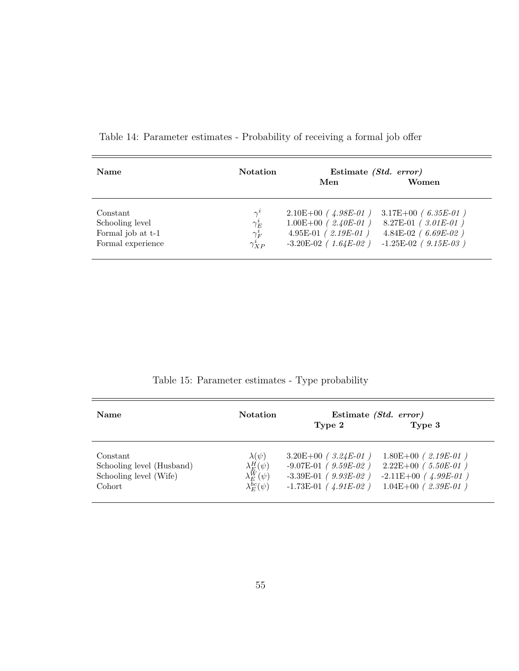| <b>Name</b>                                                           | <b>Notation</b>                                                           |                                                                                                   | Estimate (Std. error)                                                                             |
|-----------------------------------------------------------------------|---------------------------------------------------------------------------|---------------------------------------------------------------------------------------------------|---------------------------------------------------------------------------------------------------|
|                                                                       |                                                                           | Men                                                                                               | Women                                                                                             |
| Constant<br>Schooling level<br>Formal job at t-1<br>Formal experience | $\sim^{i}$<br>$\gamma_E^\iota$<br>$\gamma^{\imath}_F$<br>$\gamma^i_{X P}$ | $2.10E+00$ (4.98E-01)<br>$1.00E+00$ (2.40E-01)<br>4.95E-01 $(2.19E-01)$<br>$-3.20E-02$ (1.64E-02) | $3.17E+00$ (6.35E-01)<br>8.27E-01 $(3.01E-01)$<br>$4.84E-02$ (6.69E-02)<br>$-1.25E-02$ (9.15E-03) |

Table 14: Parameter estimates - Probability of receiving a formal job offer

|  |  | Table 15: Parameter estimates - Type probability |
|--|--|--------------------------------------------------|
|  |  |                                                  |

| <b>Name</b>                                                               | <b>Notation</b>                                                                                |                                                                                                     | Estimate (Std. error)                                                                             |
|---------------------------------------------------------------------------|------------------------------------------------------------------------------------------------|-----------------------------------------------------------------------------------------------------|---------------------------------------------------------------------------------------------------|
|                                                                           |                                                                                                | Type 2                                                                                              | Type 3                                                                                            |
| Constant<br>Schooling level (Husband)<br>Schooling level (Wife)<br>Cohort | $\lambda(\psi)$<br>$\lambda_E^H(\psi)$<br>$\lambda_E^{\bar W}(\psi)$<br>$\lambda_E^{bc}(\psi)$ | $3.20E+00$ (3.24E-01)<br>$-9.07E-01$ (9.59E-02)<br>$-3.39E-01$ (9.93E-02)<br>$-1.73E-01$ (4.91E-02) | $1.80E+00$ (2.19E-01)<br>$2.22E+00$ (5.50E-01)<br>$-2.11E+00$ (4.99E-01)<br>$1.04E+00$ (2.39E-01) |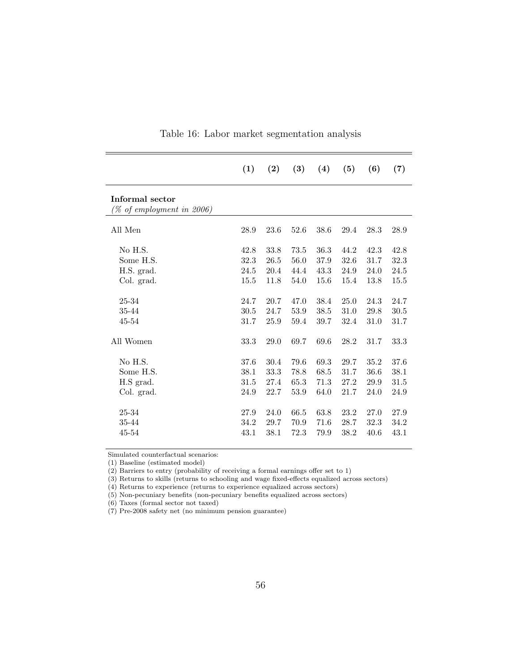|                                                 | (1)  | (2)      | (3)  | (4)      | (5)      | (6)      | (7)  |
|-------------------------------------------------|------|----------|------|----------|----------|----------|------|
| Informal sector<br>$(\%$ of employment in 2006) |      |          |      |          |          |          |      |
| All Men                                         | 28.9 | 23.6     | 52.6 | 38.6     | 29.4     | 28.3     | 28.9 |
| No H.S.                                         | 42.8 | $33.8\,$ | 73.5 | 36.3     | 44.2     | 42.3     | 42.8 |
| Some H.S.                                       | 32.3 | 26.5     | 56.0 | 37.9     | 32.6     | 31.7     | 32.3 |
| H.S. grad.                                      | 24.5 | 20.4     | 44.4 | 43.3     | 24.9     | 24.0     | 24.5 |
| Col. grad.                                      | 15.5 | 11.8     | 54.0 | 15.6     | 15.4     | 13.8     | 15.5 |
|                                                 |      |          |      |          |          |          |      |
| 25-34                                           | 24.7 | 20.7     | 47.0 | 38.4     | 25.0     | 24.3     | 24.7 |
| 35-44                                           | 30.5 | 24.7     | 53.9 | 38.5     | 31.0     | 29.8     | 30.5 |
| $45 - 54$                                       | 31.7 | 25.9     | 59.4 | 39.7     | 32.4     | $31.0\,$ | 31.7 |
| All Women                                       | 33.3 | 29.0     | 69.7 | 69.6     | 28.2     | 31.7     | 33.3 |
| No H.S.                                         | 37.6 | 30.4     | 79.6 | $69.3\,$ | 29.7     | 35.2     | 37.6 |
| Some H.S.                                       | 38.1 | 33.3     | 78.8 | 68.5     | 31.7     | 36.6     | 38.1 |
| H.S grad.                                       | 31.5 | 27.4     | 65.3 | 71.3     | $27.2\,$ | 29.9     | 31.5 |
| Col. grad.                                      | 24.9 | 22.7     | 53.9 | 64.0     | 21.7     | 24.0     | 24.9 |
|                                                 |      |          |      |          |          |          |      |
| 25-34                                           | 27.9 | 24.0     | 66.5 | 63.8     | 23.2     | 27.0     | 27.9 |
| 35-44                                           | 34.2 | 29.7     | 70.9 | 71.6     | 28.7     | 32.3     | 34.2 |
| $45 - 54$                                       | 43.1 | 38.1     | 72.3 | 79.9     | 38.2     | 40.6     | 43.1 |

Table 16: Labor market segmentation analysis

Simulated counterfactual scenarios:

(1) Baseline (estimated model)

(2) Barriers to entry (probability of receiving a formal earnings offer set to 1)

(3) Returns to skills (returns to schooling and wage fixed-effects equalized across sectors)

(4) Returns to experience (returns to experience equalized across sectors)

(5) Non-pecuniary benefits (non-pecuniary benefits equalized across sectors)

(6) Taxes (formal sector not taxed)

(7) Pre-2008 safety net (no minimum pension guarantee)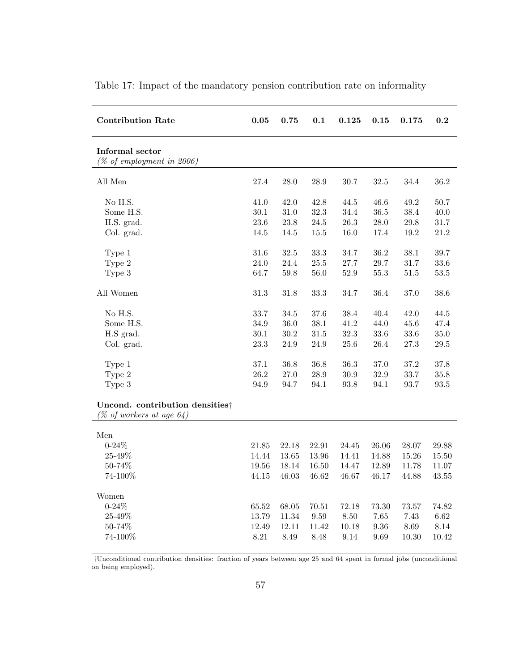| <b>Contribution Rate</b>                                                   | $\boldsymbol{0.05}$ | 0.75     | 0.1      | 0.125    | 0.15     | 0.175    | 0.2                 |
|----------------------------------------------------------------------------|---------------------|----------|----------|----------|----------|----------|---------------------|
| Informal sector<br>$(\%$ of employment in 2006)                            |                     |          |          |          |          |          |                     |
| All Men                                                                    | 27.4                | $28.0\,$ | $28.9\,$ | 30.7     | $32.5\,$ | 34.4     | 36.2                |
| No H.S.                                                                    | 41.0                | 42.0     | 42.8     | 44.5     | 46.6     | 49.2     | 50.7                |
| Some H.S.                                                                  | 30.1                | 31.0     | $32.3\,$ | 34.4     | $36.5\,$ | $38.4\,$ | 40.0                |
| H.S. grad.                                                                 | $23.6\,$            | $23.8\,$ | 24.5     | $26.3\,$ | $28.0\,$ | 29.8     | 31.7                |
| Col. grad.                                                                 | 14.5                | 14.5     | 15.5     | 16.0     | 17.4     | 19.2     | 21.2                |
| Type 1                                                                     | $31.6\,$            | $32.5\,$ | $33.3\,$ | 34.7     | $36.2\,$ | 38.1     | 39.7                |
| Type 2                                                                     | $24.0\,$            | $24.4\,$ | $25.5\,$ | $27.7\,$ | $29.7\,$ | $31.7\,$ | $33.6\,$            |
| Type 3                                                                     | 64.7                | 59.8     | 56.0     | $52.9\,$ | $55.3\,$ | $51.5\,$ | $53.5\,$            |
| All Women                                                                  | $31.3\,$            | $31.8\,$ | $33.3\,$ | 34.7     | 36.4     | $37.0\,$ | 38.6                |
| No H.S.                                                                    | 33.7                | $34.5\,$ | 37.6     | $38.4\,$ | 40.4     | 42.0     | 44.5                |
| Some H.S.                                                                  | $34.9\,$            | $36.0\,$ | 38.1     | 41.2     | 44.0     | 45.6     | 47.4                |
| H.S grad.                                                                  | $30.1\,$            | $30.2\,$ | $31.5\,$ | 32.3     | 33.6     | $33.6\,$ | $35.0\,$            |
| Col. grad.                                                                 | $23.3\,$            | 24.9     | 24.9     | 25.6     | 26.4     | 27.3     | $29.5\,$            |
| Type 1                                                                     | 37.1                | $36.8\,$ | $36.8\,$ | 36.3     | 37.0     | 37.2     | 37.8                |
| Type 2                                                                     | 26.2                | $27.0\,$ | $28.9\,$ | $30.9\,$ | $32.9\,$ | 33.7     | 35.8                |
| Type 3                                                                     | 94.9                | 94.7     | 94.1     | 93.8     | 94.1     | 93.7     | $\boldsymbol{93.5}$ |
| Uncond. contribution densities <sup>†</sup><br>$(\%$ of workers at age 64) |                     |          |          |          |          |          |                     |
| Men                                                                        |                     |          |          |          |          |          |                     |
| $0 - 24\%$                                                                 | 21.85               | 22.18    | 22.91    | 24.45    | 26.06    | 28.07    | 29.88               |
| $25-49\%$                                                                  | 14.44               | 13.65    | 13.96    | 14.41    | 14.88    | 15.26    | 15.50               |
| 50-74%                                                                     | 19.56               | 18.14    | 16.50    | 14.47    | 12.89    | 11.78    | 11.07               |
| 74-100%                                                                    | 44.15               | 46.03    | 46.62    | 46.67    | 46.17    | 44.88    | 43.55               |
| Women                                                                      |                     |          |          |          |          |          |                     |
| $0 - 24\%$                                                                 | 65.52               | 68.05    | 70.51    | 72.18    | 73.30    | 73.57    | 74.82               |
| 25-49%                                                                     | 13.79               | 11.34    | 9.59     | 8.50     | 7.65     | 7.43     | 6.62                |
| 50-74%                                                                     | 12.49               | 12.11    | 11.42    | 10.18    | $9.36\,$ | 8.69     | 8.14                |
| 74-100%                                                                    | $8.21\,$            | 8.49     | 8.48     | $9.14\,$ | 9.69     | 10.30    | 10.42               |
|                                                                            |                     |          |          |          |          |          |                     |

Table 17: Impact of the mandatory pension contribution rate on informality

†Unconditional contribution densities: fraction of years between age 25 and 64 spent in formal jobs (unconditional on being employed).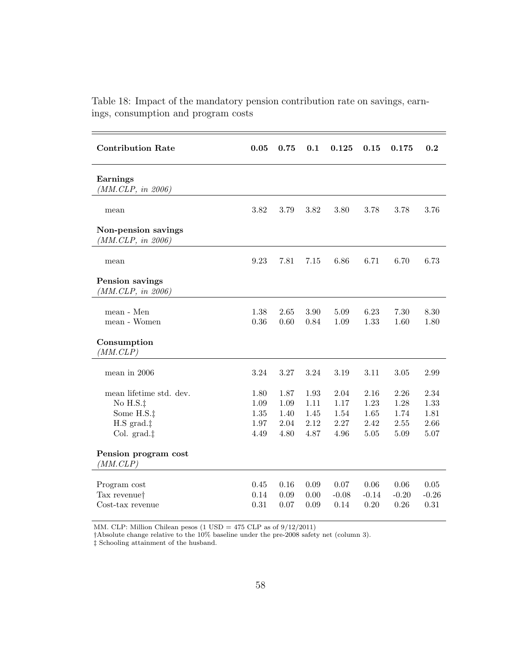| <b>Contribution Rate</b>                                     | 0.05                 | 0.75                 | 0.1                  | 0.125                   | 0.15                    | 0.175                   | $0.2\,$                 |
|--------------------------------------------------------------|----------------------|----------------------|----------------------|-------------------------|-------------------------|-------------------------|-------------------------|
| Earnings<br>(MM.CLP, in 2006)                                |                      |                      |                      |                         |                         |                         |                         |
| mean                                                         | 3.82                 | 3.79                 | 3.82                 | 3.80                    | 3.78                    | 3.78                    | 3.76                    |
| Non-pension savings<br>(MM. CLP, in 2006)                    |                      |                      |                      |                         |                         |                         |                         |
| mean                                                         | 9.23                 | 7.81                 | 7.15                 | 6.86                    | 6.71                    | 6.70                    | 6.73                    |
| Pension savings<br>(MM.CLP, in 2006)                         |                      |                      |                      |                         |                         |                         |                         |
| mean - Men<br>mean - Women                                   | 1.38<br>$0.36\,$     | 2.65<br>0.60         | 3.90<br>0.84         | 5.09<br>1.09            | 6.23<br>1.33            | 7.30<br>1.60            | 8.30<br>1.80            |
| Consumption<br>(MM.CLP)                                      |                      |                      |                      |                         |                         |                         |                         |
| mean in 2006                                                 | 3.24                 | 3.27                 | 3.24                 | 3.19                    | 3.11                    | 3.05                    | 2.99                    |
| mean lifetime std. dev.<br>No $H.S.t$<br>Some H.S.‡          | 1.80<br>1.09<br>1.35 | 1.87<br>1.09<br>1.40 | 1.93<br>1.11<br>1.45 | 2.04<br>1.17<br>1.54    | 2.16<br>1.23<br>1.65    | 2.26<br>1.28<br>1.74    | 2.34<br>1.33<br>1.81    |
| $H.S$ grad. $\ddagger$<br>Col. $grad.$                       | 1.97<br>4.49         | 2.04<br>4.80         | 2.12<br>4.87         | 2.27<br>4.96            | 2.42<br>5.05            | 2.55<br>5.09            | 2.66<br>5.07            |
| Pension program cost<br>(MM.CLP)                             |                      |                      |                      |                         |                         |                         |                         |
| Program cost<br>Tax revenue <sup>†</sup><br>Cost-tax revenue | 0.45<br>0.14<br>0.31 | 0.16<br>0.09<br>0.07 | 0.09<br>0.00<br>0.09 | 0.07<br>$-0.08$<br>0.14 | 0.06<br>$-0.14$<br>0.20 | 0.06<br>$-0.20$<br>0.26 | 0.05<br>$-0.26$<br>0.31 |

Table 18: Impact of the mandatory pension contribution rate on savings, earnings, consumption and program costs

MM. CLP: Million Chilean pesos (1 USD = 475 CLP as of  $9/12/2011$ )

†Absolute change relative to the 10% baseline under the pre-2008 safety net (column 3).

‡ Schooling attainment of the husband.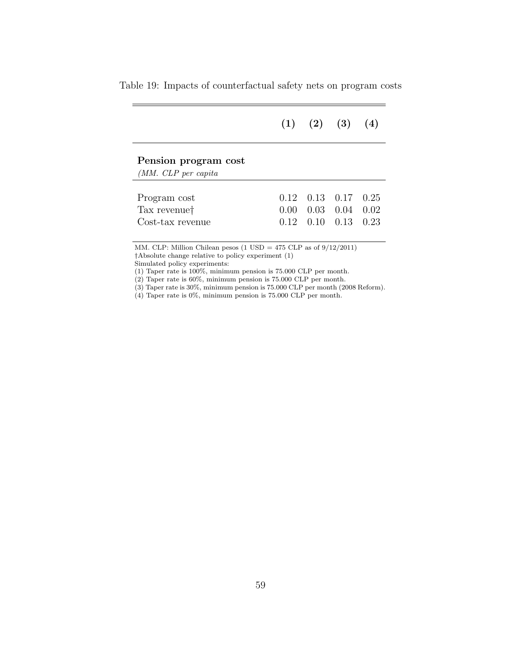|                                                              |       | $(1)$ $(2)$ $(3)$                                                                           | (4)  |
|--------------------------------------------------------------|-------|---------------------------------------------------------------------------------------------|------|
| Pension program cost<br>(MM. CLP per capita                  |       |                                                                                             |      |
| Program cost<br>Tax revenue <sup>†</sup><br>Cost-tax revenue | 0.00. | $0.12 \quad 0.13 \quad 0.17 \quad 0.25$<br>$0.03$ 0.04 0.02<br>$0.12 \quad 0.10 \quad 0.13$ | 0.23 |

Table 19: Impacts of counterfactual safety nets on program costs

MM. CLP: Million Chilean pesos  $(1 \text{ USD} = 475 \text{ CLP}$  as of  $9/12/2011)$ †Absolute change relative to policy experiment (1)

Simulated policy experiments:

(1) Taper rate is 100%, minimum pension is 75.000 CLP per month.

(2) Taper rate is 60%, minimum pension is 75.000 CLP per month.

(3) Taper rate is 30%, minimum pension is 75.000 CLP per month (2008 Reform).

(4) Taper rate is 0%, minimum pension is 75.000 CLP per month.